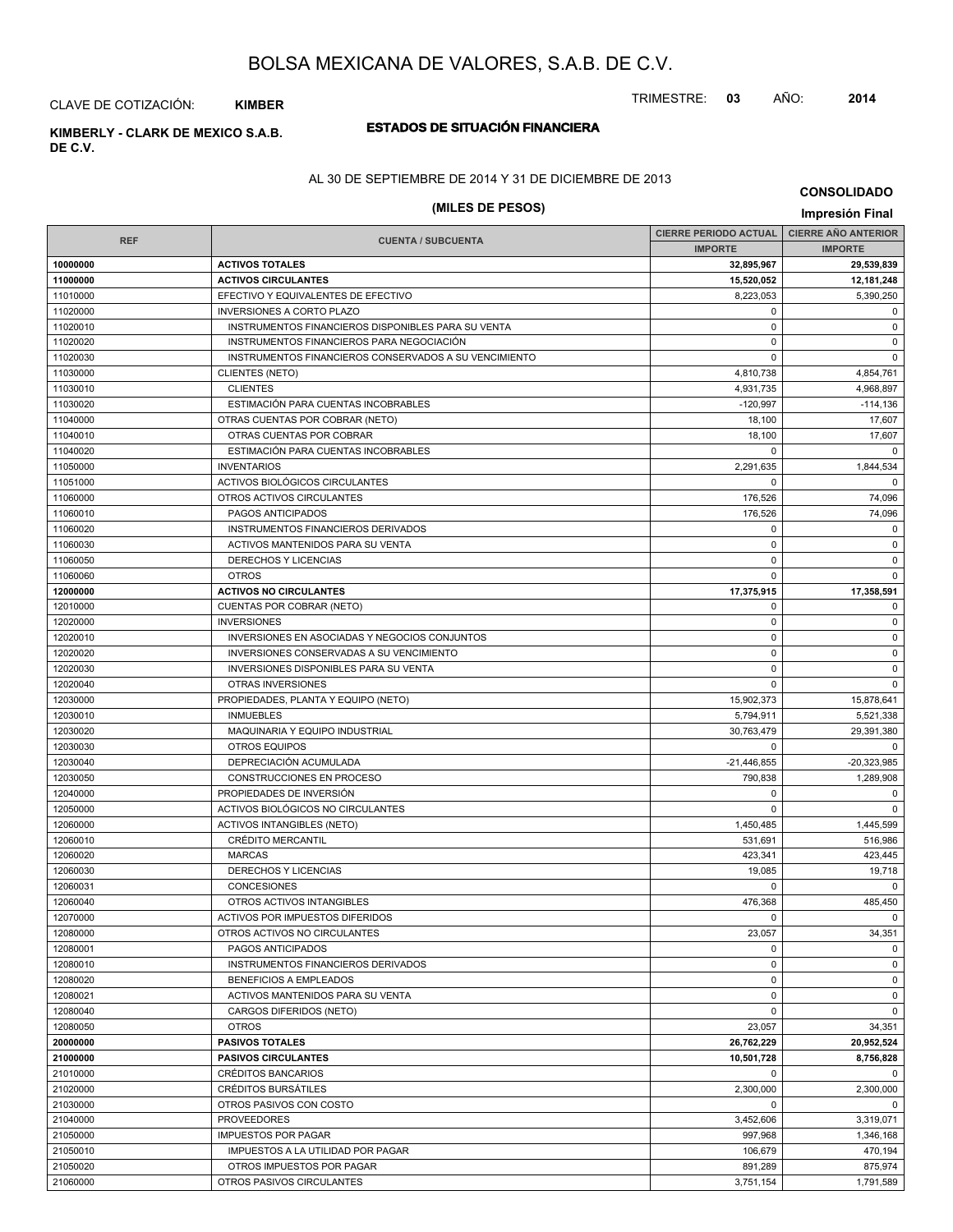#### TRIMESTRE: **03** AÑO: **2014**

# CLAVE DE COTIZACIÓN: **KIMBER**

# **DE C.V.**

# **ESTADOS DE SITUACIÓN FINANCIERA KIMBERLY - CLARK DE MEXICO S.A.B.**

#### AL 30 DE SEPTIEMBRE DE 2014 Y 31 DE DICIEMBRE DE 2013

# **(MILES DE PESOS) Impresión Final**

**CONSOLIDADO**

|            |                                                       | <b>CIERRE PERIODO ACTUAL</b> | <b>CIERRE AÑO ANTERIOR</b> |
|------------|-------------------------------------------------------|------------------------------|----------------------------|
| <b>REF</b> | <b>CUENTA / SUBCUENTA</b>                             | <b>IMPORTE</b>               | <b>IMPORTE</b>             |
| 10000000   | <b>ACTIVOS TOTALES</b>                                | 32,895,967                   | 29,539,839                 |
| 11000000   | <b>ACTIVOS CIRCULANTES</b>                            | 15,520,052                   | 12,181,248                 |
| 11010000   | EFECTIVO Y EQUIVALENTES DE EFECTIVO                   | 8,223,053                    | 5,390,250                  |
| 11020000   | <b>INVERSIONES A CORTO PLAZO</b>                      | $\mathbf 0$                  | $\mathbf 0$                |
| 11020010   | INSTRUMENTOS FINANCIEROS DISPONIBLES PARA SU VENTA    | $\pmb{0}$                    | 0                          |
| 11020020   | INSTRUMENTOS FINANCIEROS PARA NEGOCIACIÓN             | $\mathbf 0$                  | $\mathsf 0$                |
| 11020030   | INSTRUMENTOS FINANCIEROS CONSERVADOS A SU VENCIMIENTO | $\mathbf 0$                  | $\mathbf 0$                |
| 11030000   | <b>CLIENTES (NETO)</b>                                | 4,810,738                    | 4,854,761                  |
| 11030010   | <b>CLIENTES</b>                                       | 4,931,735                    | 4,968,897                  |
| 11030020   | ESTIMACIÓN PARA CUENTAS INCOBRABLES                   | $-120.997$                   | $-114,136$                 |
| 11040000   | OTRAS CUENTAS POR COBRAR (NETO)                       | 18,100                       | 17,607                     |
| 11040010   | OTRAS CUENTAS POR COBRAR                              | 18,100                       | 17,607                     |
| 11040020   | ESTIMACIÓN PARA CUENTAS INCOBRABLES                   | $\mathbf 0$                  | $\Omega$                   |
| 11050000   | <b>INVENTARIOS</b>                                    | 2,291,635                    | 1,844,534                  |
| 11051000   | ACTIVOS BIOLÓGICOS CIRCULANTES                        | $\mathbf 0$                  | $\mathbf 0$                |
| 11060000   | OTROS ACTIVOS CIRCULANTES                             | 176,526                      | 74,096                     |
| 11060010   | PAGOS ANTICIPADOS                                     | 176,526                      | 74,096                     |
| 11060020   | INSTRUMENTOS FINANCIEROS DERIVADOS                    | $\mathbf 0$                  | $\mathbf 0$                |
| 11060030   | ACTIVOS MANTENIDOS PARA SU VENTA                      | $\mathbf 0$                  | $\mathbf 0$                |
| 11060050   | DERECHOS Y LICENCIAS                                  | $\mathbf 0$                  | 0                          |
| 11060060   | <b>OTROS</b>                                          | $\mathbf 0$                  | $\mathbf 0$                |
| 12000000   | <b>ACTIVOS NO CIRCULANTES</b>                         | 17,375,915                   | 17,358,591                 |
| 12010000   | CUENTAS POR COBRAR (NETO)                             | 0                            | 0                          |
| 12020000   | <b>INVERSIONES</b>                                    | $\pmb{0}$                    | $\mathsf 0$                |
| 12020010   | INVERSIONES EN ASOCIADAS Y NEGOCIOS CONJUNTOS         | $\mathbf 0$                  | $\mathbf 0$                |
| 12020020   | INVERSIONES CONSERVADAS A SU VENCIMIENTO              | 0                            | 0                          |
| 12020030   | INVERSIONES DISPONIBLES PARA SU VENTA                 | $\mathbf 0$                  | 0                          |
| 12020040   | OTRAS INVERSIONES                                     | $\mathbf 0$                  | $\mathbf 0$                |
| 12030000   | PROPIEDADES, PLANTA Y EQUIPO (NETO)                   | 15,902,373                   | 15,878,641                 |
| 12030010   | <b>INMUEBLES</b>                                      | 5,794,911                    | 5,521,338                  |
| 12030020   | MAQUINARIA Y EQUIPO INDUSTRIAL                        | 30,763,479                   | 29,391,380                 |
| 12030030   | <b>OTROS EQUIPOS</b>                                  | $\mathbf 0$                  | $\mathbf 0$                |
| 12030040   | DEPRECIACIÓN ACUMULADA                                | $-21,446,855$                | $-20,323,985$              |
| 12030050   | CONSTRUCCIONES EN PROCESO                             | 790,838                      | 1,289,908                  |
| 12040000   | PROPIEDADES DE INVERSIÓN                              | 0                            | $\mathbf 0$                |
| 12050000   | ACTIVOS BIOLÓGICOS NO CIRCULANTES                     | $\mathbf 0$                  | $\mathbf 0$                |
| 12060000   | <b>ACTIVOS INTANGIBLES (NETO)</b>                     | 1,450,485                    | 1,445,599                  |
| 12060010   | CRÉDITO MERCANTIL                                     | 531,691                      | 516,986                    |
| 12060020   | <b>MARCAS</b>                                         | 423,341                      | 423,445                    |
| 12060030   | DERECHOS Y LICENCIAS                                  | 19,085                       | 19,718                     |
| 12060031   | CONCESIONES                                           | $\mathbf 0$                  | $\Omega$                   |
| 12060040   | OTROS ACTIVOS INTANGIBLES                             | 476,368                      | 485,450                    |
| 12070000   | ACTIVOS POR IMPUESTOS DIFERIDOS                       | $\mathbf 0$                  | $^{\circ}$                 |
| 12080000   | OTROS ACTIVOS NO CIRCULANTES                          | 23,057                       | 34,351                     |
| 12080001   | PAGOS ANTICIPADOS                                     | $\mathbf 0$                  | $\mathbf 0$                |
| 12080010   | INSTRUMENTOS FINANCIEROS DERIVADOS                    | $\mathbf 0$                  | $\mathbf 0$                |
| 12080020   | BENEFICIOS A EMPLEADOS                                | 0                            | 0                          |
| 12080021   | ACTIVOS MANTENIDOS PARA SU VENTA                      | 0                            | 0                          |
| 12080040   | CARGOS DIFERIDOS (NETO)                               | $\mathbf 0$                  | 0                          |
| 12080050   | <b>OTROS</b>                                          | 23,057                       | 34,351                     |
| 20000000   | <b>PASIVOS TOTALES</b>                                | 26,762,229                   | 20,952,524                 |
| 21000000   | <b>PASIVOS CIRCULANTES</b>                            | 10,501,728                   | 8,756,828                  |
| 21010000   | <b>CRÉDITOS BANCARIOS</b>                             | $\mathbf 0$                  | $\mathbf 0$                |
| 21020000   | CRÉDITOS BURSÁTILES                                   | 2,300,000                    | 2,300,000                  |
| 21030000   | OTROS PASIVOS CON COSTO                               | $\mathbf 0$                  | $\mathbf 0$                |
| 21040000   | <b>PROVEEDORES</b>                                    | 3,452,606                    | 3,319,071                  |
| 21050000   | <b>IMPUESTOS POR PAGAR</b>                            | 997,968                      | 1,346,168                  |
| 21050010   | IMPUESTOS A LA UTILIDAD POR PAGAR                     | 106,679                      | 470,194                    |
| 21050020   | OTROS IMPUESTOS POR PAGAR                             | 891,289                      | 875,974                    |
| 21060000   | OTROS PASIVOS CIRCULANTES                             | 3,751,154                    | 1,791,589                  |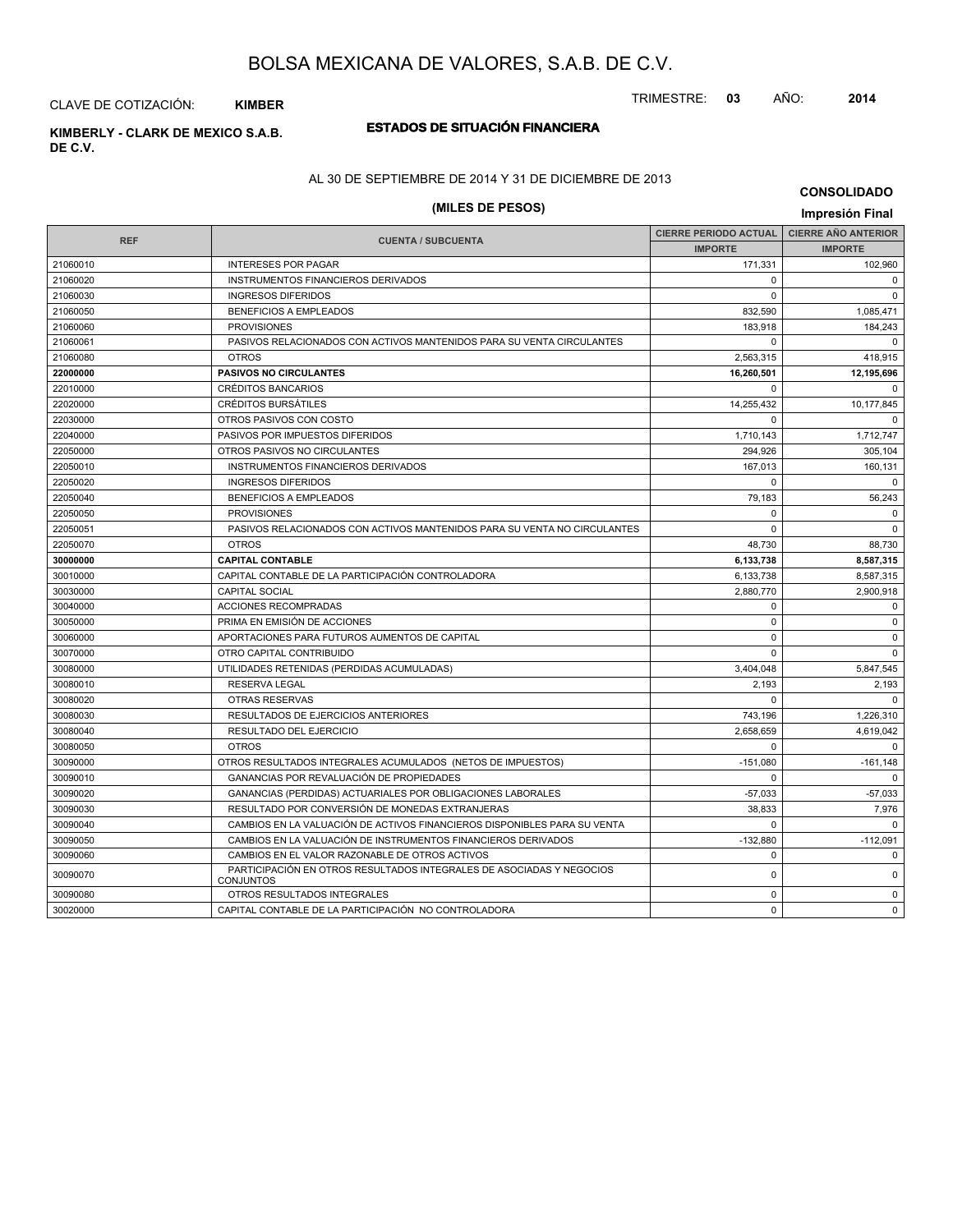TRIMESTRE: **03** AÑO: **2014**

# CLAVE DE COTIZACIÓN: **KIMBER**

# **DE C.V.**

# **ESTADOS DE SITUACIÓN FINANCIERA KIMBERLY - CLARK DE MEXICO S.A.B.**

### AL 30 DE SEPTIEMBRE DE 2014 Y 31 DE DICIEMBRE DE 2013

# **(MILES DE PESOS) Impresión Final**

**CONSOLIDADO**

| <b>REF</b> | <b>CUENTA / SUBCUENTA</b>                                                                | CIERRE PERIODO ACTUAL   CIERRE AÑO ANTERIOR<br><b>IMPORTE</b> | <b>IMPORTE</b>      |
|------------|------------------------------------------------------------------------------------------|---------------------------------------------------------------|---------------------|
| 21060010   | <b>INTERESES POR PAGAR</b>                                                               | 171,331                                                       | 102,960             |
| 21060020   | INSTRUMENTOS FINANCIEROS DERIVADOS                                                       | $\Omega$                                                      | $\mathbf 0$         |
| 21060030   | <b>INGRESOS DIFERIDOS</b>                                                                | $\Omega$                                                      | $\Omega$            |
| 21060050   | <b>BENEFICIOS A EMPLEADOS</b>                                                            | 832,590                                                       | 1,085,471           |
| 21060060   | <b>PROVISIONES</b>                                                                       |                                                               |                     |
|            |                                                                                          | 183,918                                                       | 184,243<br>$\Omega$ |
| 21060061   | PASIVOS RELACIONADOS CON ACTIVOS MANTENIDOS PARA SU VENTA CIRCULANTES<br><b>OTROS</b>    | $\Omega$                                                      |                     |
| 21060080   |                                                                                          | 2,563,315                                                     | 418,915             |
| 22000000   | <b>PASIVOS NO CIRCULANTES</b>                                                            | 16,260,501                                                    | 12,195,696          |
| 22010000   | <b>CRÉDITOS BANCARIOS</b>                                                                | $\Omega$                                                      | $\Omega$            |
| 22020000   | <b>CRÉDITOS BURSÁTILES</b>                                                               | 14,255,432                                                    | 10,177,845          |
| 22030000   | OTROS PASIVOS CON COSTO                                                                  | $\Omega$                                                      | $\Omega$            |
| 22040000   | PASIVOS POR IMPUESTOS DIFERIDOS                                                          | 1,710,143                                                     | 1,712,747           |
| 22050000   | OTROS PASIVOS NO CIRCULANTES                                                             | 294,926                                                       | 305,104             |
| 22050010   | INSTRUMENTOS FINANCIEROS DERIVADOS                                                       | 167,013                                                       | 160,131             |
| 22050020   | <b>INGRESOS DIFERIDOS</b>                                                                | $\Omega$                                                      | $\Omega$            |
| 22050040   | <b>BENEFICIOS A EMPLEADOS</b>                                                            | 79,183                                                        | 56,243              |
| 22050050   | <b>PROVISIONES</b>                                                                       | $\Omega$                                                      | $\Omega$            |
| 22050051   | PASIVOS RELACIONADOS CON ACTIVOS MANTENIDOS PARA SU VENTA NO CIRCULANTES                 | $\Omega$                                                      | $\Omega$            |
| 22050070   | <b>OTROS</b>                                                                             | 48,730                                                        | 88,730              |
| 30000000   | <b>CAPITAL CONTABLE</b>                                                                  | 6,133,738                                                     | 8,587,315           |
| 30010000   | CAPITAL CONTABLE DE LA PARTICIPACIÓN CONTROLADORA                                        | 6,133,738                                                     | 8,587,315           |
| 30030000   | <b>CAPITAL SOCIAL</b>                                                                    | 2,880,770                                                     | 2,900,918           |
| 30040000   | <b>ACCIONES RECOMPRADAS</b>                                                              | $\Omega$                                                      | $\mathbf 0$         |
| 30050000   | PRIMA EN EMISIÓN DE ACCIONES                                                             | $\Omega$                                                      | $\mathbf 0$         |
| 30060000   | APORTACIONES PARA FUTUROS AUMENTOS DE CAPITAL                                            | $\Omega$                                                      | $\mathbf 0$         |
| 30070000   | OTRO CAPITAL CONTRIBUIDO                                                                 | $\Omega$                                                      | $\Omega$            |
| 30080000   | UTILIDADES RETENIDAS (PERDIDAS ACUMULADAS)                                               | 3.404.048                                                     | 5,847,545           |
| 30080010   | <b>RESERVA LEGAL</b>                                                                     | 2,193                                                         | 2,193               |
| 30080020   | <b>OTRAS RESERVAS</b>                                                                    | 0                                                             | $\Omega$            |
| 30080030   | RESULTADOS DE EJERCICIOS ANTERIORES                                                      | 743,196                                                       | 1,226,310           |
| 30080040   | RESULTADO DEL EJERCICIO                                                                  | 2,658,659                                                     | 4,619,042           |
| 30080050   | <b>OTROS</b>                                                                             | 0                                                             | $\mathbf 0$         |
| 30090000   | OTROS RESULTADOS INTEGRALES ACUMULADOS (NETOS DE IMPUESTOS)                              | $-151,080$                                                    | $-161,148$          |
| 30090010   | <b>GANANCIAS POR REVALUACIÓN DE PROPIEDADES</b>                                          | $\Omega$                                                      | $\Omega$            |
| 30090020   | GANANCIAS (PERDIDAS) ACTUARIALES POR OBLIGACIONES LABORALES                              | $-57,033$                                                     | $-57,033$           |
| 30090030   | RESULTADO POR CONVERSIÓN DE MONEDAS EXTRANJERAS                                          | 38,833                                                        | 7,976               |
| 30090040   | CAMBIOS EN LA VALUACIÓN DE ACTIVOS FINANCIEROS DISPONIBLES PARA SU VENTA                 | $\Omega$                                                      | $\Omega$            |
| 30090050   | CAMBIOS EN LA VALUACIÓN DE INSTRUMENTOS FINANCIEROS DERIVADOS                            | $-132,880$                                                    | $-112.091$          |
| 30090060   | CAMBIOS EN EL VALOR RAZONABLE DE OTROS ACTIVOS                                           | $\Omega$                                                      | $\Omega$            |
| 30090070   | PARTICIPACIÓN EN OTROS RESULTADOS INTEGRALES DE ASOCIADAS Y NEGOCIOS<br><b>CONJUNTOS</b> | $\mathbf 0$                                                   | $\Omega$            |
| 30090080   | OTROS RESULTADOS INTEGRALES                                                              | $\Omega$                                                      | $\Omega$            |
| 30020000   | CAPITAL CONTABLE DE LA PARTICIPACIÓN NO CONTROLADORA                                     | $\Omega$                                                      | $\Omega$            |
|            |                                                                                          |                                                               |                     |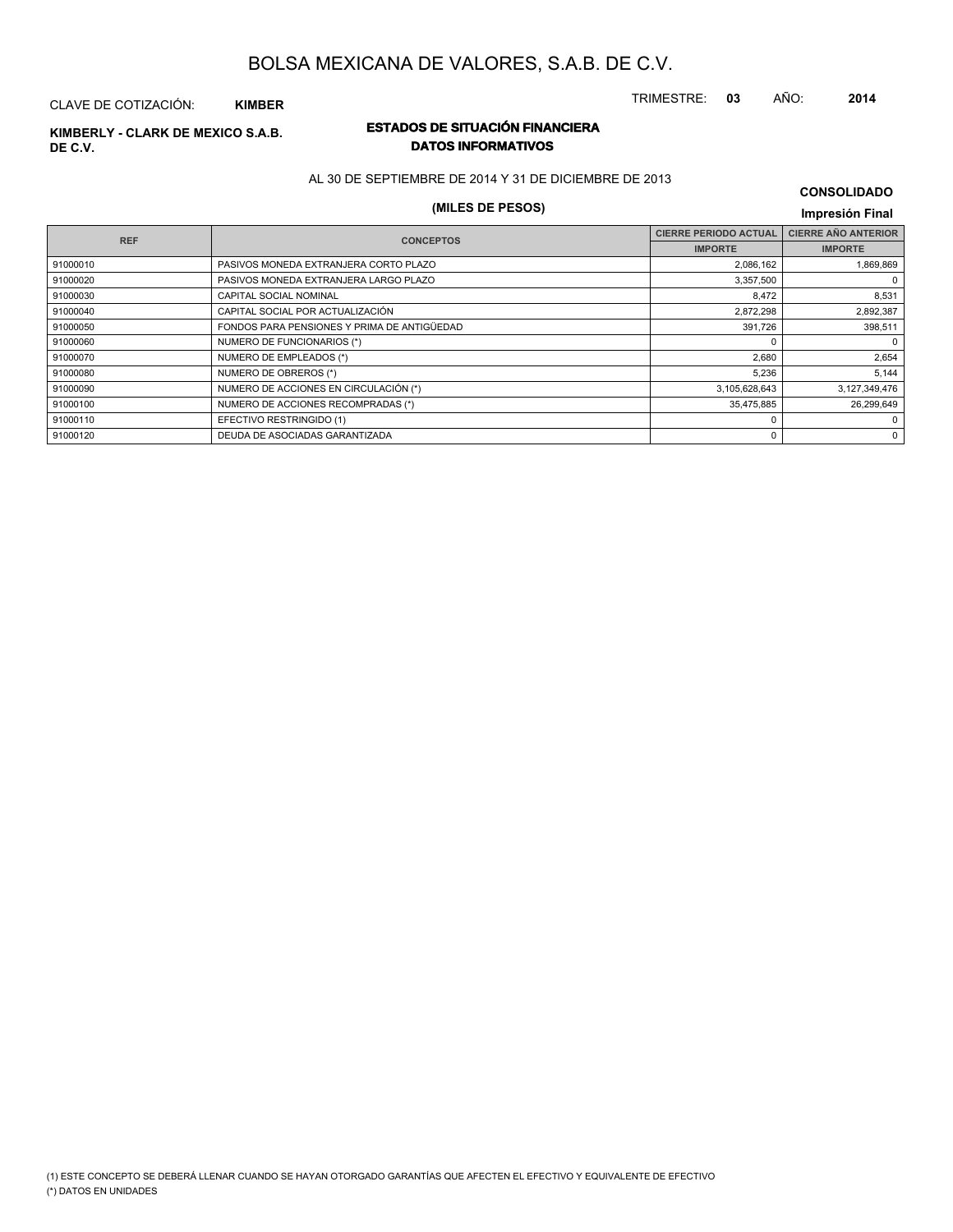# **DE C.V.**

# **ESTADOS DE SITUACIÓN FINANCIERA KIMBERLY - CLARK DE MEXICO S.A.B. DATOS INFORMATIVOS**

AL 30 DE SEPTIEMBRE DE 2014 Y 31 DE DICIEMBRE DE 2013

# **(MILES DE PESOS) Impresión Final**

| <b>CONSOLIDADO</b> |  |
|--------------------|--|
|--------------------|--|

TRIMESTRE: **03** AÑO: **2014**

| <b>REF</b> | <b>CONCEPTOS</b>                            | <b>CIERRE PERIODO ACTUAL</b> | <b>CIERRE AÑO ANTERIOR</b> |
|------------|---------------------------------------------|------------------------------|----------------------------|
|            |                                             | <b>IMPORTE</b>               | <b>IMPORTE</b>             |
| 91000010   | PASIVOS MONEDA EXTRANJERA CORTO PLAZO       | 2,086,162                    | 1,869,869                  |
| 91000020   | PASIVOS MONEDA EXTRANJERA LARGO PLAZO       | 3,357,500                    | $\Omega$                   |
| 91000030   | CAPITAL SOCIAL NOMINAL                      | 8,472                        | 8,531                      |
| 91000040   | CAPITAL SOCIAL POR ACTUALIZACIÓN            | 2,872,298                    | 2,892,387                  |
| 91000050   | FONDOS PARA PENSIONES Y PRIMA DE ANTIGÜEDAD | 391,726                      | 398,511                    |
| 91000060   | NUMERO DE FUNCIONARIOS (*)                  |                              | $\Omega$                   |
| 91000070   | NUMERO DE EMPLEADOS (*)                     | 2,680                        | 2,654                      |
| 91000080   | NUMERO DE OBREROS (*)                       | 5,236                        | 5,144                      |
| 91000090   | NUMERO DE ACCIONES EN CIRCULACIÓN (*)       | 3,105,628,643                | 3,127,349,476              |
| 91000100   | NUMERO DE ACCIONES RECOMPRADAS (*)          | 35,475,885                   | 26.299.649                 |
| 91000110   | EFECTIVO RESTRINGIDO (1)                    | O                            | $\Omega$                   |
| 91000120   | DEUDA DE ASOCIADAS GARANTIZADA              | 0                            | 0                          |
|            |                                             |                              |                            |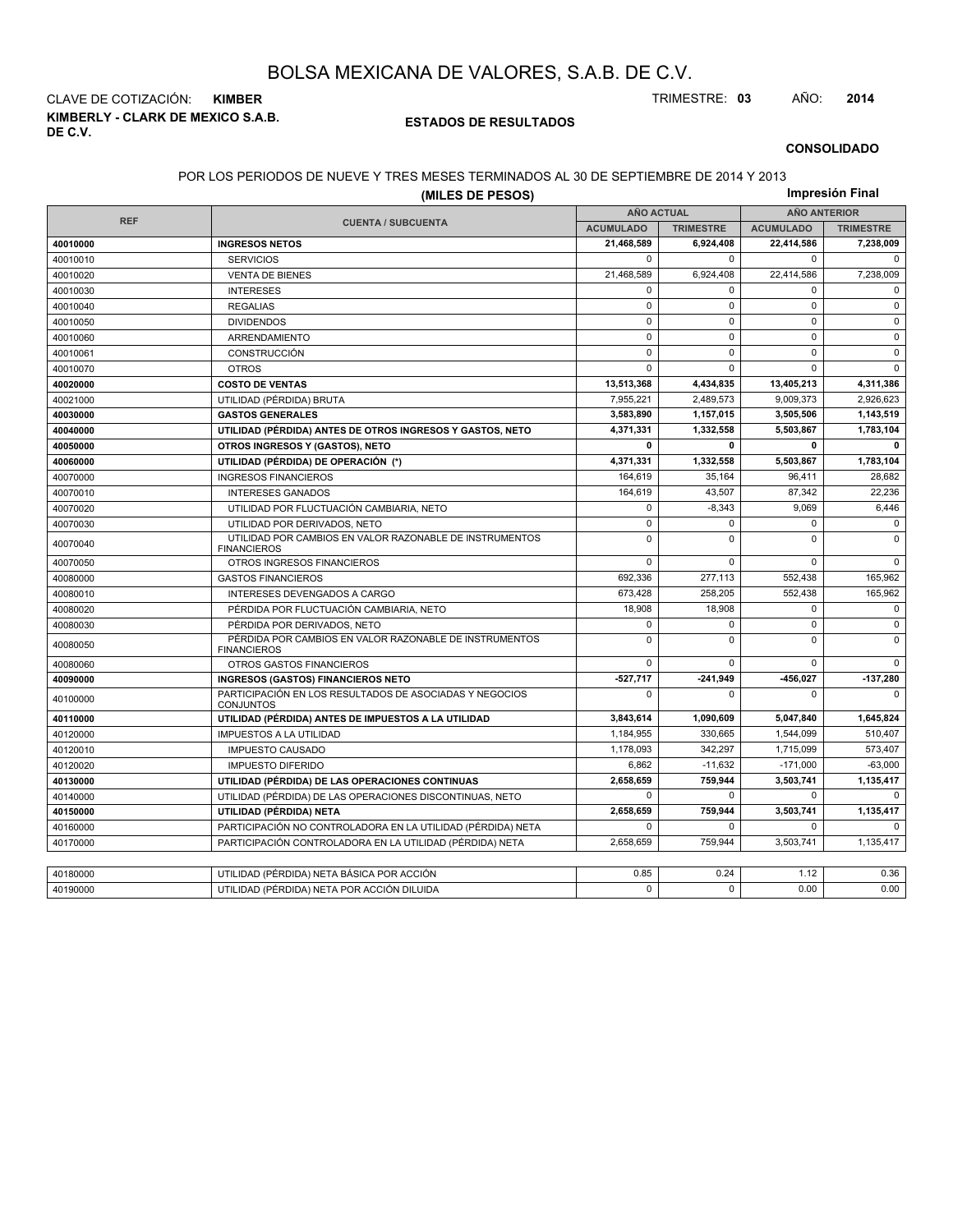**KIMBERLY - CLARK DE MEXICO S.A.B. DE C.V.** CLAVE DE COTIZACIÓN: **KIMBER** TRIMESTRE: **03** AÑO: **2014**

#### **ESTADOS DE RESULTADOS**

#### **CONSOLIDADO**

### POR LOS PERIODOS DE NUEVE Y TRES MESES TERMINADOS AL 30 DE SEPTIEMBRE DE 2014 Y 2013

|            | LINODOO DE NOEVE TIJNEO MEOEO TERMINADOO AE 00 DE OEI TIEMDINE DE ZOTT TIZON.<br>(MILES DE PESOS) |                   |                  |                     | Impresión Final  |  |
|------------|---------------------------------------------------------------------------------------------------|-------------------|------------------|---------------------|------------------|--|
|            |                                                                                                   | <b>AÑO ACTUAL</b> |                  | <b>AÑO ANTERIOR</b> |                  |  |
| <b>REF</b> | <b>CUENTA / SUBCUENTA</b>                                                                         | <b>ACUMULADO</b>  | <b>TRIMESTRE</b> | <b>ACUMULADO</b>    | <b>TRIMESTRE</b> |  |
| 40010000   | <b>INGRESOS NETOS</b>                                                                             | 21,468,589        | 6,924,408        | 22,414,586          | 7,238,009        |  |
| 40010010   | <b>SERVICIOS</b>                                                                                  | $\mathbf 0$       | $\Omega$         | $\mathbf 0$         | $\Omega$         |  |
| 40010020   | <b>VENTA DE BIENES</b>                                                                            | 21,468,589        | 6,924,408        | 22,414,586          | 7,238,009        |  |
| 40010030   | <b>INTERESES</b>                                                                                  | $\mathbf 0$       | $\mathbf 0$      | $\mathbf 0$         | $\mathbf 0$      |  |
| 40010040   | <b>REGALIAS</b>                                                                                   | $\pmb{0}$         | $\Omega$         | $\mathsf 0$         | $\Omega$         |  |
| 40010050   | <b>DIVIDENDOS</b>                                                                                 | $\mathbf 0$       | $\Omega$         | $\mathbf 0$         | $\mathbf 0$      |  |
| 40010060   | ARRENDAMIENTO                                                                                     | $\mathbf 0$       | $\mathbf 0$      | $\mathbf 0$         | $\mathbf 0$      |  |
| 40010061   | CONSTRUCCIÓN                                                                                      | $\pmb{0}$         | $\mathbf 0$      | $\pmb{0}$           | $\mathsf 0$      |  |
| 40010070   | <b>OTROS</b>                                                                                      | $\Omega$          | $\Omega$         | $\Omega$            | $\Omega$         |  |
| 40020000   | <b>COSTO DE VENTAS</b>                                                                            | 13,513,368        | 4,434,835        | 13,405,213          | 4,311,386        |  |
| 40021000   | UTILIDAD (PÉRDIDA) BRUTA                                                                          | 7,955,221         | 2,489,573        | 9,009,373           | 2,926,623        |  |
| 40030000   | <b>GASTOS GENERALES</b>                                                                           | 3,583,890         | 1,157,015        | 3,505,506           | 1,143,519        |  |
| 40040000   | UTILIDAD (PÉRDIDA) ANTES DE OTROS INGRESOS Y GASTOS, NETO                                         | 4,371,331         | 1,332,558        | 5,503,867           | 1,783,104        |  |
| 40050000   | OTROS INGRESOS Y (GASTOS), NETO                                                                   | 0                 | $\mathbf{0}$     | 0                   | 0                |  |
| 40060000   | UTILIDAD (PÉRDIDA) DE OPERACIÓN (*)                                                               | 4,371,331         | 1,332,558        | 5,503,867           | 1,783,104        |  |
| 40070000   | <b>INGRESOS FINANCIEROS</b>                                                                       | 164,619           | 35,164           | 96,411              | 28,682           |  |
| 40070010   | <b>INTERESES GANADOS</b>                                                                          | 164,619           | 43,507           | 87,342              | 22,236           |  |
| 40070020   | UTILIDAD POR FLUCTUACIÓN CAMBIARIA, NETO                                                          | $\mathsf 0$       | $-8,343$         | 9,069               | 6,446            |  |
| 40070030   | UTILIDAD POR DERIVADOS, NETO                                                                      | $\mathsf 0$       | $\Omega$         | 0                   | $\Omega$         |  |
| 40070040   | UTILIDAD POR CAMBIOS EN VALOR RAZONABLE DE INSTRUMENTOS<br><b>FINANCIEROS</b>                     | $\mathbf 0$       | $\Omega$         | $\Omega$            | $\Omega$         |  |
| 40070050   | OTROS INGRESOS FINANCIEROS                                                                        | $\Omega$          | $\Omega$         | $\mathbf 0$         | $\Omega$         |  |
| 40080000   | <b>GASTOS FINANCIEROS</b>                                                                         | 692,336           | 277,113          | 552,438             | 165,962          |  |
| 40080010   | INTERESES DEVENGADOS A CARGO                                                                      | 673,428           | 258,205          | 552,438             | 165,962          |  |
| 40080020   | PÉRDIDA POR FLUCTUACIÓN CAMBIARIA, NETO                                                           | 18.908            | 18.908           | $\mathbf 0$         | $\mathbf 0$      |  |
| 40080030   | PÉRDIDA POR DERIVADOS, NETO                                                                       | $\mathbf 0$       | 0                | $\mathbf 0$         | $\mathbf 0$      |  |
| 40080050   | PÉRDIDA POR CAMBIOS EN VALOR RAZONABLE DE INSTRUMENTOS<br><b>FINANCIEROS</b>                      | $\mathbf 0$       | $\Omega$         | $\mathbf 0$         | $\mathbf 0$      |  |
| 40080060   | OTROS GASTOS FINANCIEROS                                                                          | $\mathbf 0$       | $\Omega$         | $\mathbf 0$         | $\Omega$         |  |
| 40090000   | <b>INGRESOS (GASTOS) FINANCIEROS NETO</b>                                                         | $-527,717$        | $-241,949$       | -456,027            | $-137,280$       |  |
| 40100000   | PARTICIPACIÓN EN LOS RESULTADOS DE ASOCIADAS Y NEGOCIOS<br><b>CONJUNTOS</b>                       | $\mathbf 0$       | $\Omega$         | $\Omega$            | $\Omega$         |  |
| 40110000   | UTILIDAD (PÉRDIDA) ANTES DE IMPUESTOS A LA UTILIDAD                                               | 3.843.614         | 1.090.609        | 5,047,840           | 1,645,824        |  |
| 40120000   | <b>IMPUESTOS A LA UTILIDAD</b>                                                                    | 1,184,955         | 330,665          | 1,544,099           | 510,407          |  |
| 40120010   | <b>IMPUESTO CAUSADO</b>                                                                           | 1,178,093         | 342.297          | 1,715,099           | 573,407          |  |
| 40120020   | <b>IMPUESTO DIFERIDO</b>                                                                          | 6,862             | $-11,632$        | $-171,000$          | $-63,000$        |  |
| 40130000   | UTILIDAD (PÉRDIDA) DE LAS OPERACIONES CONTINUAS                                                   | 2.658.659         | 759.944          | 3,503,741           | 1,135,417        |  |
| 40140000   | UTILIDAD (PÉRDIDA) DE LAS OPERACIONES DISCONTINUAS, NETO                                          | $\mathbf 0$       | $\Omega$         | $\mathbf 0$         | $\mathbf 0$      |  |
| 40150000   | UTILIDAD (PÉRDIDA) NETA                                                                           | 2,658,659         | 759.944          | 3,503,741           | 1,135,417        |  |
| 40160000   | PARTICIPACIÓN NO CONTROLADORA EN LA UTILIDAD (PÉRDIDA) NETA                                       | $\mathbf 0$       | $\Omega$         | $\mathbf 0$         | $\Omega$         |  |
| 40170000   | PARTICIPACIÓN CONTROLADORA EN LA UTILIDAD (PÉRDIDA) NETA                                          | 2.658.659         | 759.944          | 3.503.741           | 1.135.417        |  |
|            |                                                                                                   |                   |                  |                     |                  |  |
| 40180000   | UTILIDAD (PÉRDIDA) NETA BÁSICA POR ACCIÓN                                                         | 0.85              | 0.24             | 1.12                | 0.36             |  |
| 40190000   | UTILIDAD (PÉRDIDA) NETA POR ACCIÓN DILUIDA                                                        | $\Omega$          | $\Omega$         | 0.00                | 0.00             |  |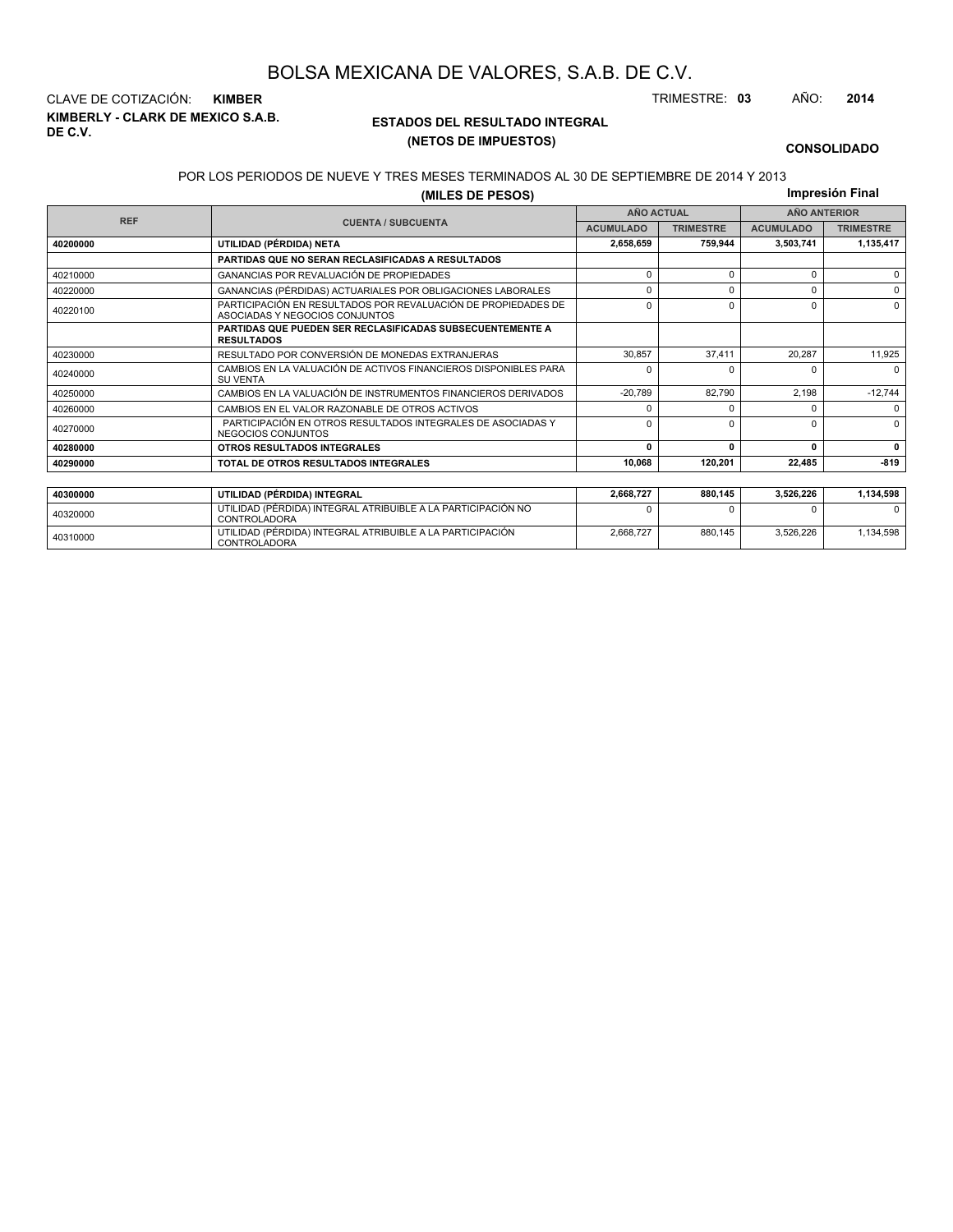**KIMBERLY - CLARK DE MEXICO S.A.B. DE C.V.** CLAVE DE COTIZACIÓN: **KIMBER** TRIMESTRE: **03** AÑO: **2014**

<sup>40310000</sup> UTILIDAD (PÉRDIDA) INTEGRAL ATRIBUIBLE A LA PARTICIPACIÓN CONTROLADORA

#### **ESTADOS DEL RESULTADO INTEGRAL (NETOS DE IMPUESTOS)**

2,668,727 880,145 3,526,226 1,134,598

#### **CONSOLIDADO**

#### POR LOS PERIODOS DE NUEVE Y TRES MESES TERMINADOS AL 30 DE SEPTIEMBRE DE 2014 Y 2013

**(MILES DE PESOS)**

**Impresión Final**

|          | <b>AÑO ACTUAL</b><br><b>REF</b>                                                                 |                  |                  | <b>AÑO ANTERIOR</b> |                  |
|----------|-------------------------------------------------------------------------------------------------|------------------|------------------|---------------------|------------------|
|          | <b>CUENTA / SUBCUENTA</b>                                                                       | <b>ACUMULADO</b> | <b>TRIMESTRE</b> | <b>ACUMULADO</b>    | <b>TRIMESTRE</b> |
| 40200000 | UTILIDAD (PÉRDIDA) NETA                                                                         | 2,658,659        | 759.944          | 3,503,741           | 1,135,417        |
|          | <b>PARTIDAS QUE NO SERAN RECLASIFICADAS A RESULTADOS</b>                                        |                  |                  |                     |                  |
| 40210000 | GANANCIAS POR REVALUACIÓN DE PROPIEDADES                                                        | $\Omega$         | $\Omega$         | $\Omega$            | $\Omega$         |
| 40220000 | 0<br>ŋ<br>GANANCIAS (PÉRDIDAS) ACTUARIALES POR OBLIGACIONES LABORALES                           |                  |                  |                     |                  |
| 40220100 | PARTICIPACIÓN EN RESULTADOS POR REVALUACIÓN DE PROPIEDADES DE<br>ASOCIADAS Y NEGOCIOS CONJUNTOS | $\Omega$         | ŋ                | $\Omega$            | 0                |
|          | PARTIDAS QUE PUEDEN SER RECLASIFICADAS SUBSECUENTEMENTE A<br><b>RESULTADOS</b>                  |                  |                  |                     |                  |
| 40230000 | RESULTADO POR CONVERSIÓN DE MONEDAS EXTRANJERAS                                                 | 30.857           | 37.411           | 20.287              | 11,925           |
| 40240000 | CAMBIOS EN LA VALUACIÓN DE ACTIVOS FINANCIEROS DISPONIBLES PARA<br><b>SU VENTA</b>              | U                |                  | $\Omega$            | $\Omega$         |
| 40250000 | CAMBIOS EN LA VALUACIÓN DE INSTRUMENTOS FINANCIEROS DERIVADOS                                   | $-20,789$        | 82,790           | 2.198               | $-12,744$        |
| 40260000 | CAMBIOS EN EL VALOR RAZONABLE DE OTROS ACTIVOS                                                  | ŋ                |                  | <sup>0</sup>        | $\Omega$         |
| 40270000 | PARTICIPACIÓN EN OTROS RESULTADOS INTEGRALES DE ASOCIADAS Y<br>NEGOCIOS CONJUNTOS               | $\Omega$         | $\Omega$         | O                   | $\Omega$         |
| 40280000 | OTROS RESULTADOS INTEGRALES                                                                     | $\Omega$         | n                |                     | $\mathbf{0}$     |
| 40290000 | TOTAL DE OTROS RESULTADOS INTEGRALES                                                            | 10.068           | 120.201          | 22,485              | $-819$           |
|          |                                                                                                 |                  |                  |                     |                  |
| 40300000 | UTILIDAD (PÉRDIDA) INTEGRAL                                                                     | 2,668,727        | 880,145          | 3,526,226           | 1,134,598        |
| 40320000 | UTILIDAD (PÉRDIDA) INTEGRAL ATRIBUIBLE A LA PARTICIPACIÓN NO<br><b>CONTROLADORA</b>             | ŋ                |                  |                     | <sup>0</sup>     |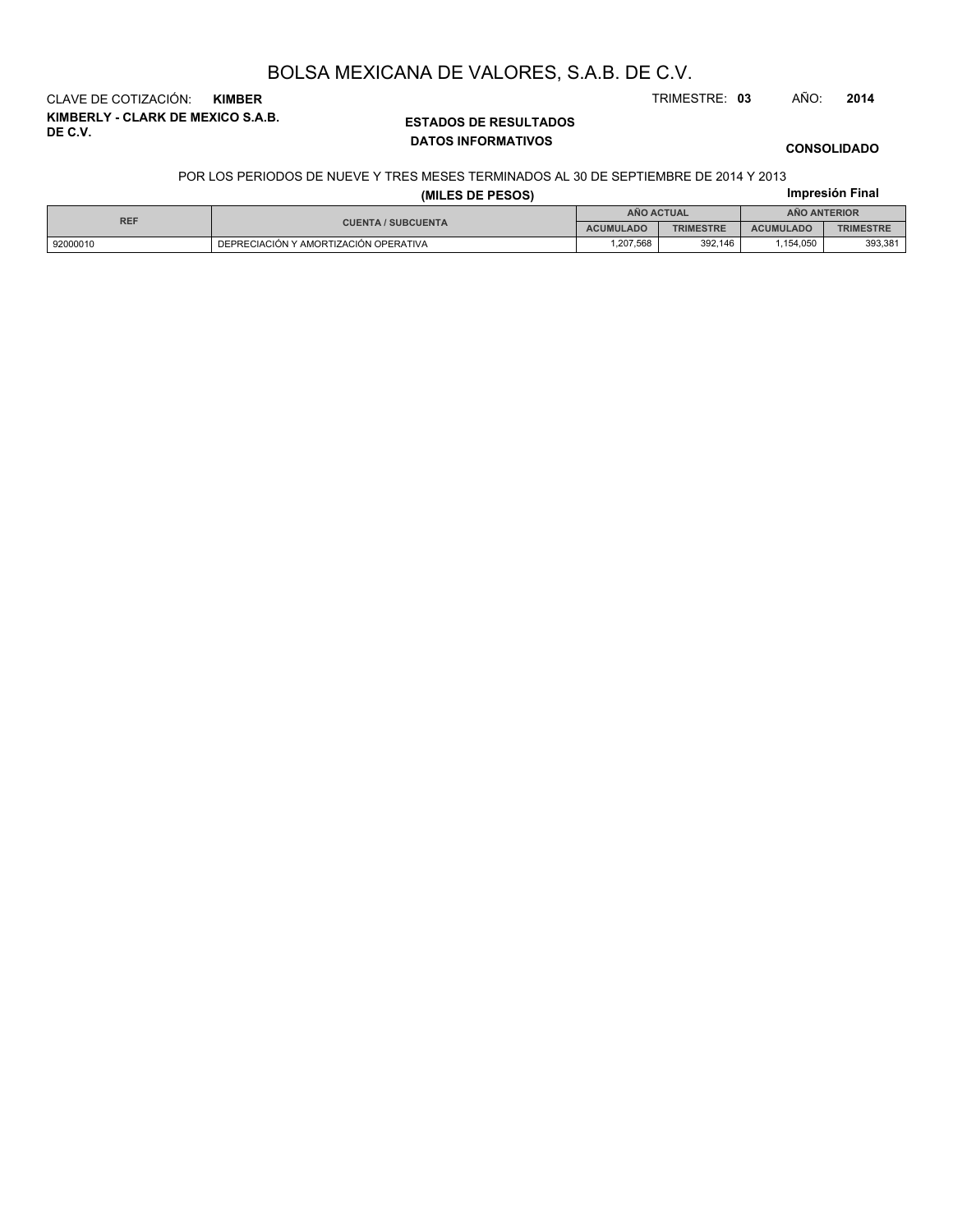CLAVE DE COTIZACIÓN: **KIMBER** TRIMESTRE: **03** AÑO: **2014**

**KIMBERLY - CLARK DE MEXICO S.A.B. DE C.V.**

## **ESTADOS DE RESULTADOS DATOS INFORMATIVOS**

#### **CONSOLIDADO**

#### POR LOS PERIODOS DE NUEVE Y TRES MESES TERMINADOS AL 30 DE SEPTIEMBRE DE 2014 Y 2013

|  | . |                 |  |
|--|---|-----------------|--|
|  |   | Impresión Final |  |

|            |                                       | Impresión Final   |                  |                     |                  |  |
|------------|---------------------------------------|-------------------|------------------|---------------------|------------------|--|
| <b>REF</b> | <b>CUENTA / SUBCUENTA</b>             | <b>ANO ACTUAL</b> |                  | <b>ANO ANTERIOR</b> |                  |  |
|            |                                       | <b>ACUMULADO</b>  | <b>TRIMESTRE</b> | <b>ACUMULADO</b>    | <b>TRIMESTRE</b> |  |
| 92000010   | DEPRECIACIÓN Y AMORTIZACIÓN OPERATIVA | .207.568          | 392.146          | .154.050            | 393.381          |  |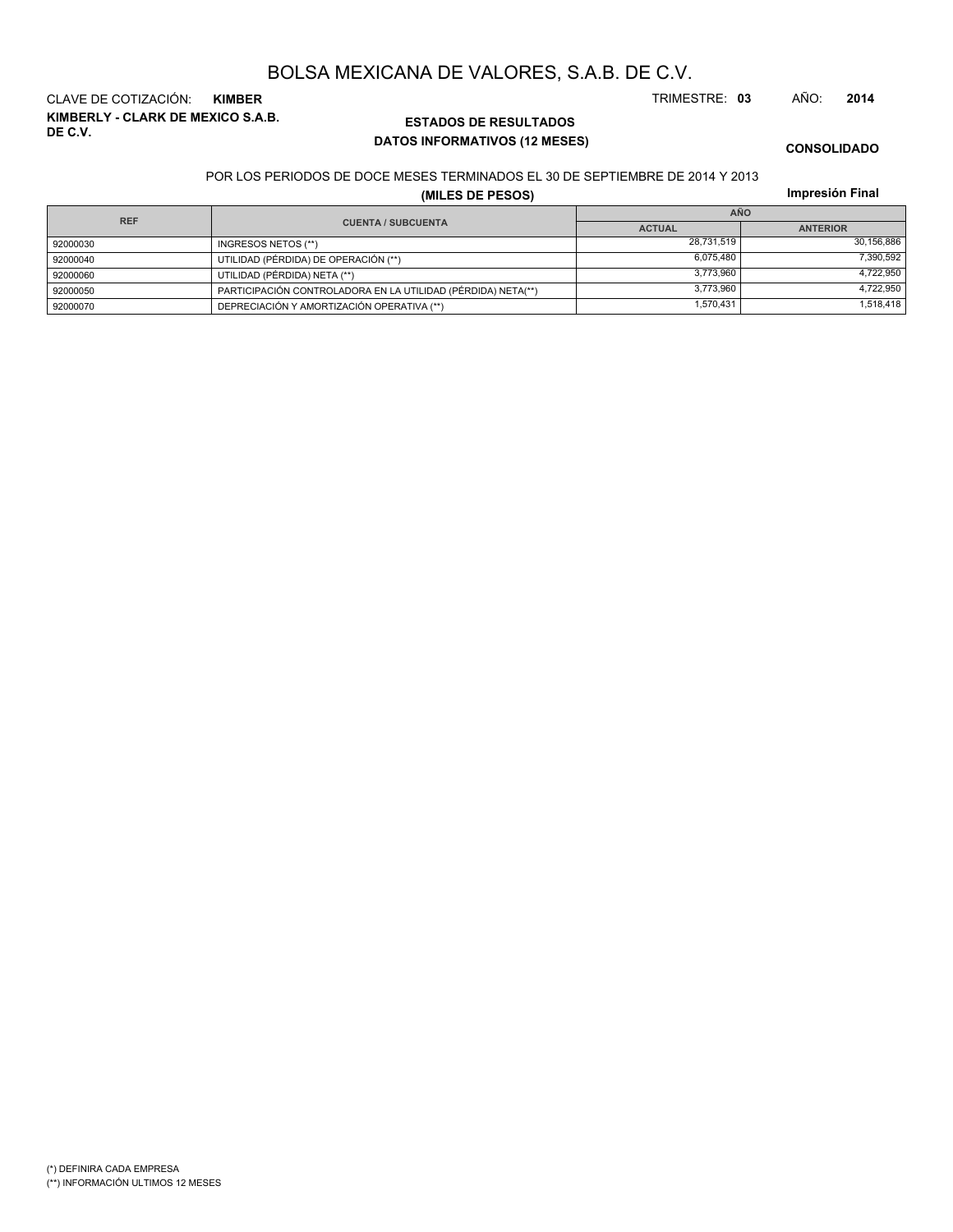**KIMBERLY - CLARK DE MEXICO S.A.B. DE C.V.** CLAVE DE COTIZACIÓN: **KIMBER** TRIMESTRE: **03** AÑO: **2014**

## **ESTADOS DE RESULTADOS DATOS INFORMATIVOS (12 MESES)**

**CONSOLIDADO**

POR LOS PERIODOS DE DOCE MESES TERMINADOS EL 30 DE SEPTIEMBRE DE 2014 Y 2013

**(MILES DE PESOS)**

**Impresión Final**

| <b>REF</b> |                                                              | <b>AÑO</b>    |                 |  |  |
|------------|--------------------------------------------------------------|---------------|-----------------|--|--|
|            | <b>CUENTA / SUBCUENTA</b>                                    | <b>ACTUAL</b> | <b>ANTERIOR</b> |  |  |
| 92000030   | INGRESOS NETOS (**)                                          | 28.731.519    | 30,156,886      |  |  |
| 92000040   | UTILIDAD (PÉRDIDA) DE OPERACIÓN (**)                         | 6,075,480     | 7,390,592       |  |  |
| 92000060   | UTILIDAD (PÉRDIDA) NETA (**)                                 | 3.773.960     | 4.722.950       |  |  |
| 92000050   | PARTICIPACIÓN CONTROLADORA EN LA UTILIDAD (PÉRDIDA) NETA(**) | 3.773.960     | 4,722,950       |  |  |
| 92000070   | DEPRECIACIÓN Y AMORTIZACIÓN OPERATIVA (**)                   | 1,570,431     | 1,518,418       |  |  |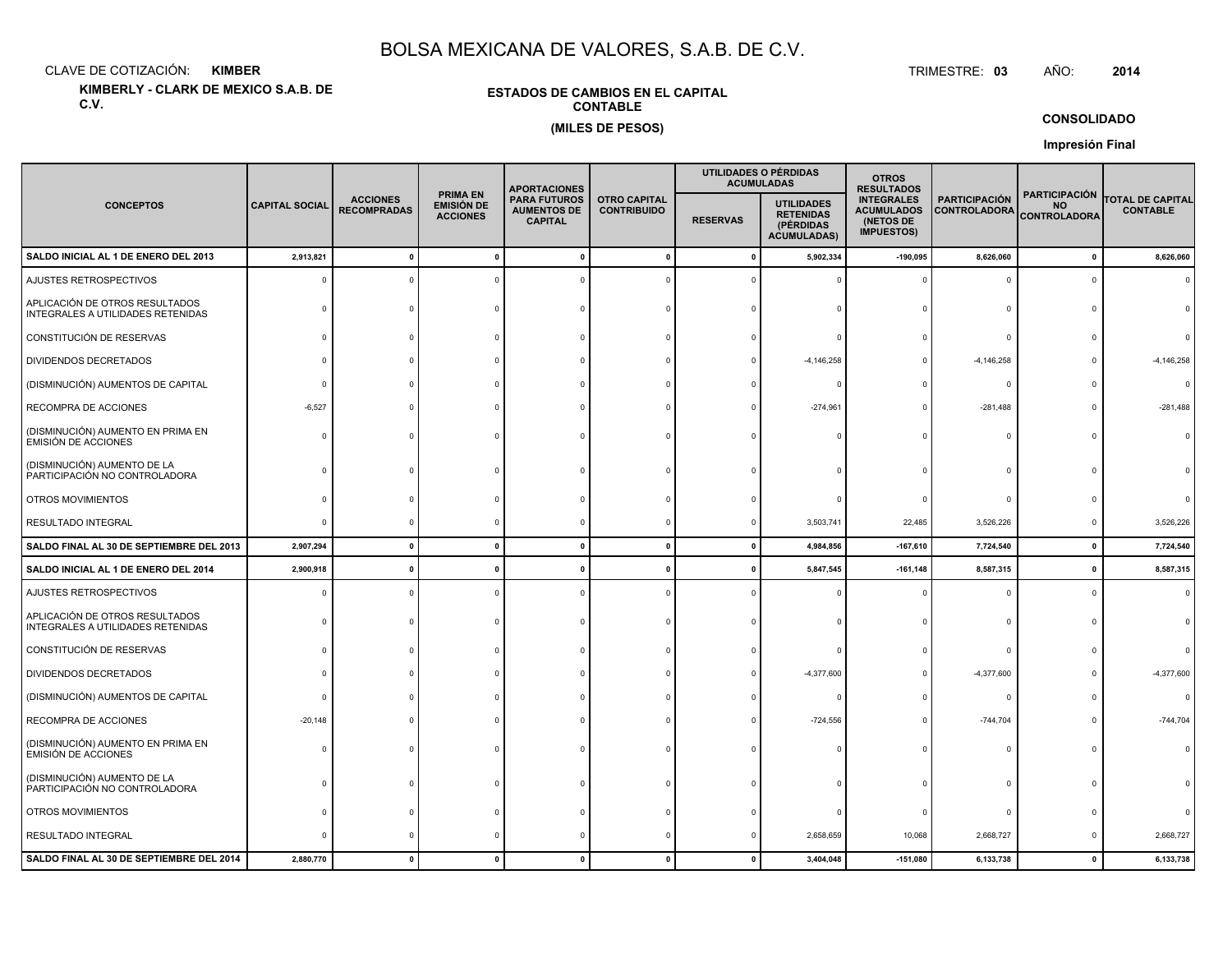CLAVE DE COTIZACIÓN:**KIMBER**: KIMBER TRIMESTRE:

**KIMBERLY - CLARK DE MEXICO S.A.B. DE C.V.**

#### **ESTADOS DE CAMBIOS EN EL CAPITALCONTABLE(MILES DE PESOS)**

TRIMESTRE: 03 AÑO: **<sup>2014</sup>**

#### **CONSOLIDADO**

**Impresión Final**

|                                                                     |                       |                                       |                                                  |                                                             | <b>APORTACIONES</b>                       |                                                                                             |              | UTILIDADES O PÉRDIDAS<br><b>ACUMULADAS</b>                               | <b>OTROS</b><br><b>RESULTADOS</b>           |                                                          |                                            |  |
|---------------------------------------------------------------------|-----------------------|---------------------------------------|--------------------------------------------------|-------------------------------------------------------------|-------------------------------------------|---------------------------------------------------------------------------------------------|--------------|--------------------------------------------------------------------------|---------------------------------------------|----------------------------------------------------------|--------------------------------------------|--|
| <b>CONCEPTOS</b>                                                    | <b>CAPITAL SOCIAL</b> | <b>ACCIONES</b><br><b>RECOMPRADAS</b> | <b>PRIMA EN</b><br>EMISIÓN DE<br><b>ACCIONES</b> | <b>PARA FUTUROS</b><br><b>AUMENTOS DE</b><br><b>CAPITAL</b> | <b>OTRO CAPITAL</b><br><b>CONTRIBUIDO</b> | <b>UTILIDADES</b><br><b>RETENIDAS</b><br><b>RESERVAS</b><br>(PÉRDIDAS<br><b>ACUMULADAS)</b> |              | <b>INTEGRALES</b><br><b>ACUMULADOS</b><br>(NETOS DE<br><b>IMPUESTOS)</b> | <b>PARTICIPACIÓN</b><br><b>CONTROLADORA</b> | <b>PARTICIPACIÓN</b><br><b>NO</b><br><b>CONTROLADORA</b> | <b>TOTAL DE CAPITAL</b><br><b>CONTABLE</b> |  |
| SALDO INICIAL AL 1 DE ENERO DEL 2013                                | 2,913,821             |                                       |                                                  |                                                             | $\mathbf 0$                               | $\mathbf{0}$                                                                                | 5,902,334    | $-190,095$                                                               | 8,626,060                                   | $\mathbf{0}$                                             | 8,626,060                                  |  |
| AJUSTES RETROSPECTIVOS                                              |                       |                                       |                                                  |                                                             |                                           |                                                                                             |              |                                                                          | $\Omega$                                    | $\Omega$                                                 |                                            |  |
| APLICACIÓN DE OTROS RESULTADOS<br>INTEGRALES A UTILIDADES RETENIDAS |                       |                                       |                                                  |                                                             |                                           |                                                                                             |              |                                                                          |                                             |                                                          |                                            |  |
| CONSTITUCIÓN DE RESERVAS                                            |                       |                                       |                                                  |                                                             |                                           |                                                                                             |              |                                                                          | $\Omega$                                    |                                                          |                                            |  |
| DIVIDENDOS DECRETADOS                                               |                       |                                       |                                                  |                                                             |                                           |                                                                                             | $-4,146,258$ |                                                                          | $-4,146,258$                                |                                                          | $-4, 146, 258$                             |  |
| (DISMINUCIÓN) AUMENTOS DE CAPITAL                                   |                       |                                       |                                                  |                                                             |                                           |                                                                                             |              |                                                                          | $\circ$                                     |                                                          | $\Omega$                                   |  |
| RECOMPRA DE ACCIONES                                                | $-6,527$              |                                       |                                                  |                                                             |                                           |                                                                                             | $-274,961$   |                                                                          | $-281,488$                                  | $\Omega$                                                 | $-281,488$                                 |  |
| (DISMINUCIÓN) AUMENTO EN PRIMA EN<br><b>EMISIÓN DE ACCIONES</b>     | n                     |                                       |                                                  |                                                             |                                           |                                                                                             |              |                                                                          | $\Omega$                                    | $\Omega$                                                 |                                            |  |
| (DISMINUCIÓN) AUMENTO DE LA<br>PARTICIPACIÓN NO CONTROLADORA        |                       |                                       |                                                  |                                                             |                                           |                                                                                             |              |                                                                          |                                             |                                                          |                                            |  |
| OTROS MOVIMIENTOS                                                   |                       |                                       |                                                  |                                                             |                                           |                                                                                             |              |                                                                          | $\Omega$                                    |                                                          |                                            |  |
| RESULTADO INTEGRAL                                                  |                       |                                       |                                                  |                                                             |                                           |                                                                                             | 3,503,741    | 22,485                                                                   | 3,526,226                                   | $\mathbf 0$                                              | 3,526,226                                  |  |
| SALDO FINAL AL 30 DE SEPTIEMBRE DEL 2013                            | 2,907,294             | $\mathbf{0}$                          | $\mathbf{0}$                                     | $\mathbf{0}$                                                | $\mathbf{0}$                              | $\mathbf{0}$                                                                                | 4,984,856    | $-167,610$                                                               | 7,724,540                                   | $\mathbf 0$                                              | 7,724,540                                  |  |
| SALDO INICIAL AL 1 DE ENERO DEL 2014                                | 2,900,918             |                                       |                                                  |                                                             | $\Omega$                                  | $\mathbf{r}$                                                                                | 5,847,545    | $-161, 148$                                                              | 8,587,315                                   | $\mathbf 0$                                              | 8,587,315                                  |  |
| AJUSTES RETROSPECTIVOS                                              |                       |                                       |                                                  |                                                             |                                           |                                                                                             |              |                                                                          | 0                                           | 0                                                        | $\Omega$                                   |  |
| APLICACIÓN DE OTROS RESULTADOS<br>INTEGRALES A UTILIDADES RETENIDAS |                       |                                       |                                                  |                                                             |                                           |                                                                                             |              |                                                                          | $\Omega$                                    |                                                          |                                            |  |
| CONSTITUCIÓN DE RESERVAS                                            |                       |                                       |                                                  |                                                             |                                           |                                                                                             |              |                                                                          | $\Omega$                                    |                                                          |                                            |  |
| DIVIDENDOS DECRETADOS                                               |                       |                                       |                                                  |                                                             |                                           |                                                                                             | $-4,377,600$ | $\Omega$                                                                 | $-4,377,600$                                |                                                          | $-4,377,600$                               |  |
| (DISMINUCIÓN) AUMENTOS DE CAPITAL                                   |                       |                                       |                                                  |                                                             |                                           |                                                                                             |              |                                                                          | $\circ$                                     |                                                          | $\Omega$                                   |  |
| RECOMPRA DE ACCIONES                                                | $-20,148$             |                                       |                                                  |                                                             |                                           |                                                                                             | $-724,556$   |                                                                          | $-744,704$                                  |                                                          | $-744,704$                                 |  |
| (DISMINUCIÓN) AUMENTO EN PRIMA EN<br><b>EMISIÓN DE ACCIONES</b>     |                       |                                       |                                                  |                                                             |                                           |                                                                                             |              |                                                                          | $\Omega$                                    |                                                          |                                            |  |
| (DISMINUCIÓN) AUMENTO DE LA<br>PARTICIPACIÓN NO CONTROLADORA        |                       |                                       |                                                  |                                                             |                                           |                                                                                             |              |                                                                          | $\Omega$                                    |                                                          |                                            |  |
| OTROS MOVIMIENTOS                                                   |                       |                                       |                                                  |                                                             |                                           |                                                                                             |              |                                                                          | $\circ$                                     |                                                          |                                            |  |
| RESULTADO INTEGRAL                                                  |                       |                                       |                                                  |                                                             |                                           |                                                                                             | 2,658,659    | 10,068                                                                   | 2,668,727                                   | $\Omega$                                                 | 2,668,727                                  |  |
| SALDO FINAL AL 30 DE SEPTIEMBRE DEL 2014                            | 2,880,770             |                                       |                                                  |                                                             | $\Omega$                                  |                                                                                             | 3,404,048    | $-151,080$                                                               | 6,133,738                                   | $\mathbf{0}$                                             | 6,133,738                                  |  |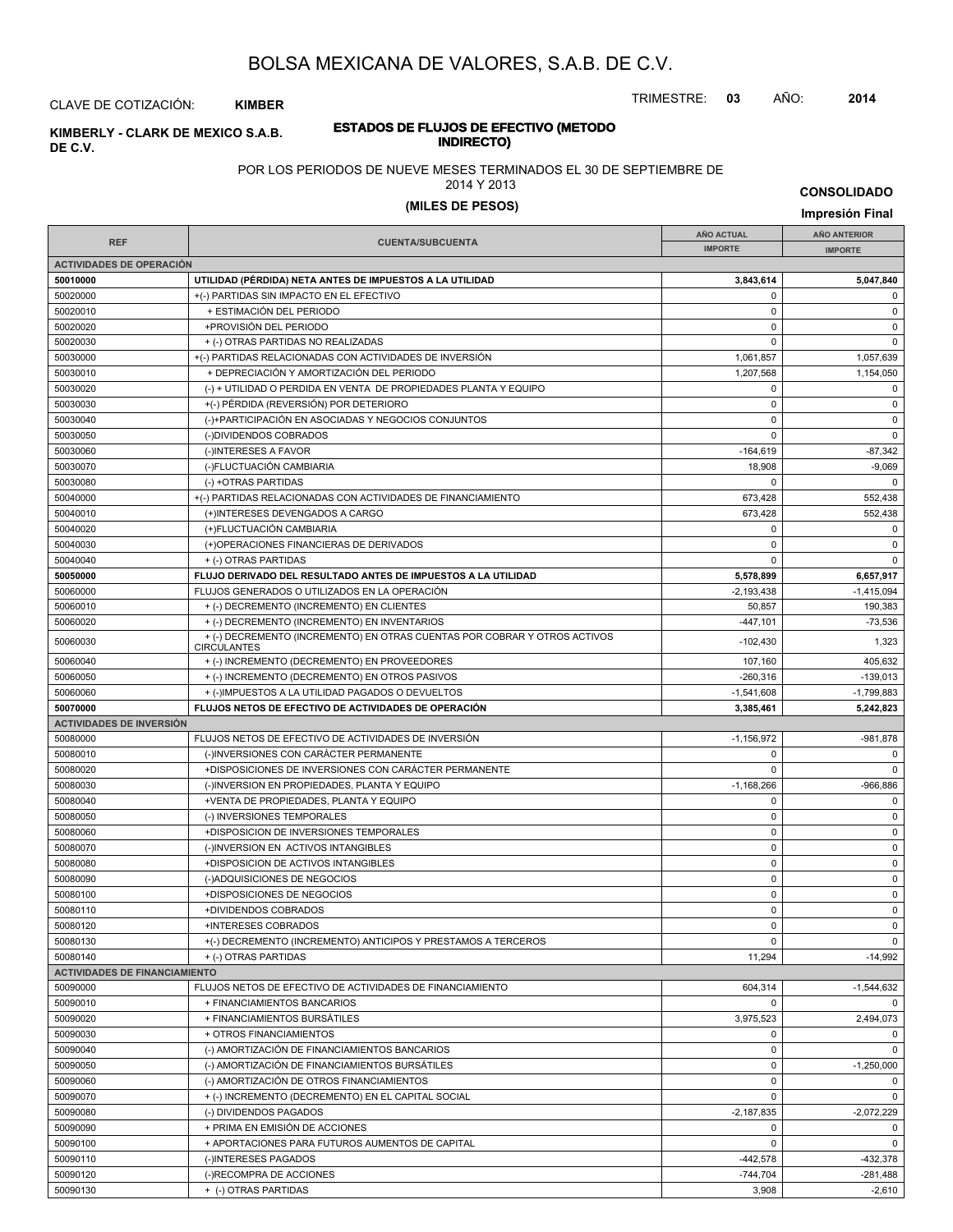TRIMESTRE: **03** AÑO: **2014**

CLAVE DE COTIZACIÓN: **KIMBER**

#### **INDIRECTO) KIMBERLY - CLARK DE MEXICO S.A.B. DE C.V.**

# **ESTADOS DE FLUJOS DE EFECTIVO (METODO**

POR LOS PERIODOS DE NUEVE MESES TERMINADOS EL 30 DE SEPTIEMBRE DE

2014 Y 2013

**(MILES DE PESOS) Impresión Final**

| <b>CONSOLIDADO</b> |  |  |
|--------------------|--|--|
|                    |  |  |

|                                      |                                                                                                 | <b>AÑO ACTUAL</b> | <b>AÑO ANTERIOR</b> |
|--------------------------------------|-------------------------------------------------------------------------------------------------|-------------------|---------------------|
| <b>REF</b>                           | <b>CUENTA/SUBCUENTA</b>                                                                         | <b>IMPORTE</b>    | <b>IMPORTE</b>      |
| <b>ACTIVIDADES DE OPERACIÓN</b>      |                                                                                                 |                   |                     |
| 50010000                             | UTILIDAD (PÉRDIDA) NETA ANTES DE IMPUESTOS A LA UTILIDAD                                        | 3,843,614         | 5,047,840           |
| 50020000                             | +(-) PARTIDAS SIN IMPACTO EN EL EFECTIVO                                                        | 0                 | 0                   |
| 50020010                             | + ESTIMACIÓN DEL PERIODO                                                                        | $\mathbf 0$       | 0                   |
| 50020020                             | +PROVISIÓN DEL PERIODO                                                                          | 0                 | 0                   |
| 50020030                             | + (-) OTRAS PARTIDAS NO REALIZADAS                                                              | $\Omega$          | $\mathbf 0$         |
| 50030000                             | +(-) PARTIDAS RELACIONADAS CON ACTIVIDADES DE INVERSIÓN                                         | 1,061,857         | 1,057,639           |
| 50030010                             | + DEPRECIACIÓN Y AMORTIZACIÓN DEL PERIODO                                                       | 1,207,568         |                     |
|                                      | (-) + UTILIDAD O PERDIDA EN VENTA DE PROPIEDADES PLANTA Y EQUIPO                                |                   | 1,154,050           |
| 50030020                             |                                                                                                 | 0                 | 0                   |
| 50030030                             | +(-) PÉRDIDA (REVERSIÓN) POR DETERIORO                                                          | 0                 | 0                   |
| 50030040                             | (-)+PARTICIPACIÓN EN ASOCIADAS Y NEGOCIOS CONJUNTOS                                             | 0                 | 0                   |
| 50030050                             | (-)DIVIDENDOS COBRADOS                                                                          | $\Omega$          | $\mathbf 0$         |
| 50030060                             | (-)INTERESES A FAVOR                                                                            | $-164,619$        | $-87,342$           |
| 50030070                             | (-)FLUCTUACIÓN CAMBIARIA                                                                        | 18,908            | $-9,069$            |
| 50030080                             | (-) +OTRAS PARTIDAS                                                                             | 0                 | $\Omega$            |
| 50040000                             | +(-) PARTIDAS RELACIONADAS CON ACTIVIDADES DE FINANCIAMIENTO                                    | 673,428           | 552,438             |
| 50040010                             | (+)INTERESES DEVENGADOS A CARGO                                                                 | 673,428           | 552,438             |
| 50040020                             | (+)FLUCTUACIÓN CAMBIARIA                                                                        | 0                 | 0                   |
| 50040030                             | (+)OPERACIONES FINANCIERAS DE DERIVADOS                                                         | 0                 | 0                   |
| 50040040                             | + (-) OTRAS PARTIDAS                                                                            | 0                 | $\mathbf 0$         |
| 50050000                             | FLUJO DERIVADO DEL RESULTADO ANTES DE IMPUESTOS A LA UTILIDAD                                   | 5,578,899         | 6,657,917           |
| 50060000                             | FLUJOS GENERADOS O UTILIZADOS EN LA OPERACIÓN                                                   | $-2,193,438$      | $-1,415,094$        |
| 50060010                             | + (-) DECREMENTO (INCREMENTO) EN CLIENTES                                                       | 50,857            | 190,383             |
| 50060020                             | + (-) DECREMENTO (INCREMENTO) EN INVENTARIOS                                                    | $-447,101$        | $-73,536$           |
| 50060030                             | + (-) DECREMENTO (INCREMENTO) EN OTRAS CUENTAS POR COBRAR Y OTROS ACTIVOS<br><b>CIRCULANTES</b> | $-102,430$        | 1,323               |
| 50060040                             | + (-) INCREMENTO (DECREMENTO) EN PROVEEDORES                                                    | 107,160           | 405,632             |
| 50060050                             | + (-) INCREMENTO (DECREMENTO) EN OTROS PASIVOS                                                  | $-260,316$        | $-139,013$          |
| 50060060                             | + (-)IMPUESTOS A LA UTILIDAD PAGADOS O DEVUELTOS                                                | $-1,541,608$      | $-1,799,883$        |
| 50070000                             | FLUJOS NETOS DE EFECTIVO DE ACTIVIDADES DE OPERACIÓN                                            | 3,385,461         | 5,242,823           |
| <b>ACTIVIDADES DE INVERSIÓN</b>      |                                                                                                 |                   |                     |
| 50080000                             | FLUJOS NETOS DE EFECTIVO DE ACTIVIDADES DE INVERSIÓN                                            | $-1,156,972$      | -981,878            |
| 50080010                             | (-)INVERSIONES CON CARÁCTER PERMANENTE                                                          | 0                 | $\mathbf 0$         |
| 50080020                             | +DISPOSICIONES DE INVERSIONES CON CARÁCTER PERMANENTE                                           | $\mathbf 0$       | $\mathbf 0$         |
| 50080030                             | (-)INVERSION EN PROPIEDADES, PLANTA Y EQUIPO                                                    | $-1,168,266$      | -966,886            |
| 50080040                             | +VENTA DE PROPIEDADES, PLANTA Y EQUIPO                                                          | 0                 | 0                   |
| 50080050                             | (-) INVERSIONES TEMPORALES                                                                      | 0                 | 0                   |
| 50080060                             | +DISPOSICION DE INVERSIONES TEMPORALES                                                          | 0                 | 0                   |
| 50080070                             | (-)INVERSION EN ACTIVOS INTANGIBLES                                                             | 0                 | $\mathsf 0$         |
| 50080080                             | +DISPOSICION DE ACTIVOS INTANGIBLES                                                             | 0                 | 0                   |
|                                      |                                                                                                 | 0                 | 0                   |
| 50080090                             | (-)ADQUISICIONES DE NEGOCIOS<br>+DISPOSICIONES DE NEGOCIOS                                      | 0                 | $\mathsf 0$         |
| 50080100                             |                                                                                                 |                   |                     |
| 50080110                             | +DIVIDENDOS COBRADOS                                                                            | 0                 | $\mathbf 0$         |
| 50080120                             | +INTERESES COBRADOS                                                                             | 0                 | 0<br>$\mathbf 0$    |
| 50080130                             | +(-) DECREMENTO (INCREMENTO) ANTICIPOS Y PRESTAMOS A TERCEROS                                   | $\mathbf 0$       |                     |
| 50080140                             | + (-) OTRAS PARTIDAS                                                                            | 11,294            | $-14,992$           |
| <b>ACTIVIDADES DE FINANCIAMIENTO</b> |                                                                                                 |                   |                     |
| 50090000                             | FLUJOS NETOS DE EFECTIVO DE ACTIVIDADES DE FINANCIAMIENTO                                       | 604,314           | $-1,544,632$        |
| 50090010                             | + FINANCIAMIENTOS BANCARIOS                                                                     | 0                 | $\mathbf 0$         |
| 50090020                             | + FINANCIAMIENTOS BURSÁTILES                                                                    | 3,975,523         | 2,494,073           |
| 50090030                             | + OTROS FINANCIAMIENTOS                                                                         | 0                 | $\mathbf 0$         |
| 50090040                             | (-) AMORTIZACIÓN DE FINANCIAMIENTOS BANCARIOS                                                   | 0                 | $\mathbf 0$         |
| 50090050                             | (-) AMORTIZACIÓN DE FINANCIAMIENTOS BURSÁTILES                                                  | 0                 | $-1,250,000$        |
| 50090060                             | (-) AMORTIZACIÓN DE OTROS FINANCIAMIENTOS                                                       | 0                 | $\mathbf 0$         |
| 50090070                             | + (-) INCREMENTO (DECREMENTO) EN EL CAPITAL SOCIAL                                              | 0                 | $\mathbf 0$         |
| 50090080                             | (-) DIVIDENDOS PAGADOS                                                                          | $-2,187,835$      | $-2,072,229$        |
| 50090090                             | + PRIMA EN EMISIÓN DE ACCIONES                                                                  | 0                 | $\mathbf 0$         |
| 50090100                             | + APORTACIONES PARA FUTUROS AUMENTOS DE CAPITAL                                                 | 0                 | $\mathbf 0$         |
| 50090110                             | (-)INTERESES PAGADOS                                                                            | $-442,578$        | -432,378            |
| 50090120                             | (-)RECOMPRA DE ACCIONES                                                                         | $-744,704$        | $-281,488$          |
| 50090130                             | + (-) OTRAS PARTIDAS                                                                            | 3,908             | $-2,610$            |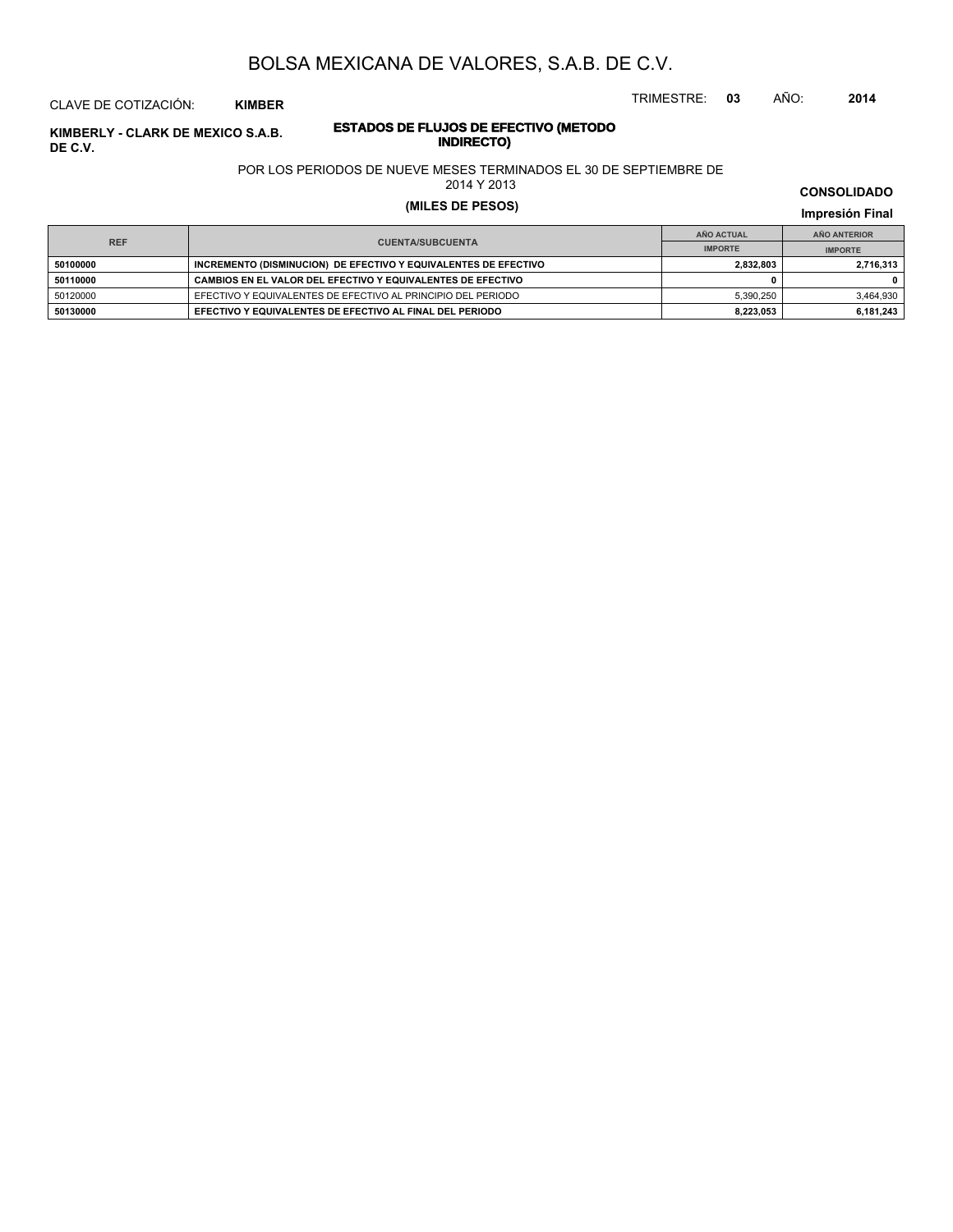TRIMESTRE: **03** AÑO: **2014**

# CLAVE DE COTIZACIÓN: **KIMBER**

# **ESTADOS DE FLUJOS DE EFECTIVO (METODO INDIRECTO) KIMBERLY - CLARK DE MEXICO S.A.B. DE C.V.**

### POR LOS PERIODOS DE NUEVE MESES TERMINADOS EL 30 DE SEPTIEMBRE DE

2014 Y 2013

# **(MILES DE PESOS) Impresión Final**

|            |                                                                 | AÑO ACTUAL     | AÑO ANTERIOR   |
|------------|-----------------------------------------------------------------|----------------|----------------|
| <b>REF</b> | <b>CUENTA/SUBCUENTA</b>                                         | <b>IMPORTE</b> | <b>IMPORTE</b> |
| 50100000   | INCREMENTO (DISMINUCION) DE EFECTIVO Y EQUIVALENTES DE EFECTIVO | 2.832.803      | 2.716.313      |
| 50110000   | CAMBIOS EN EL VALOR DEL EFECTIVO Y EQUIVALENTES DE EFECTIVO     |                |                |
| 50120000   | EFECTIVO Y EQUIVALENTES DE EFECTIVO AL PRINCIPIO DEL PERIODO    | 5.390.250      | 3.464.930      |
| 50130000   | EFECTIVO Y EQUIVALENTES DE EFECTIVO AL FINAL DEL PERIODO        | 8.223.053      | 6,181,243      |

**CONSOLIDADO**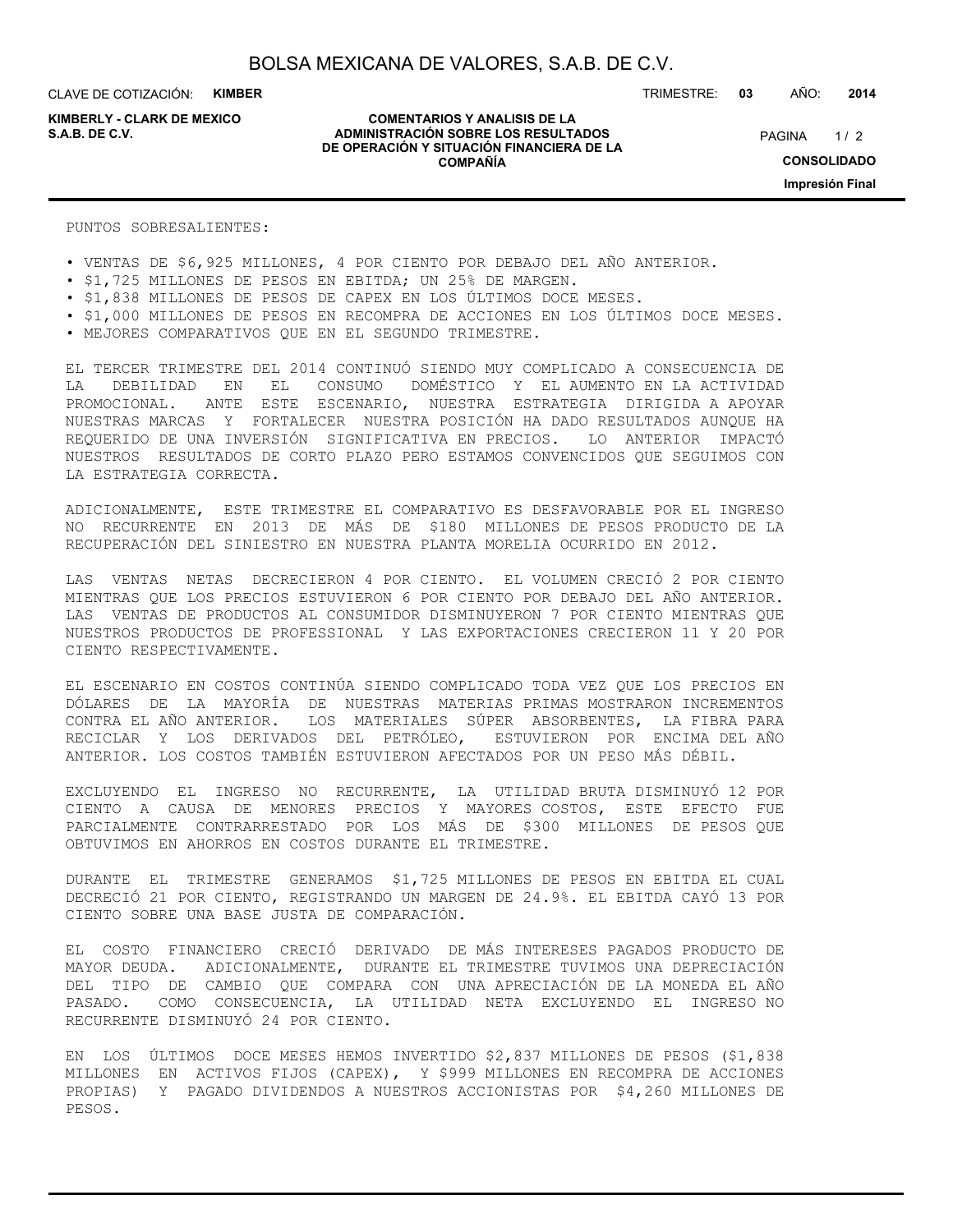**KIMBERLY - CLARK DE MEXICO**

#### **COMENTARIOS Y ANALISIS DE LA ADMINISTRACIÓN SOBRE LOS RESULTADOS S.A.B. DE C.V.** PAGINA / 2 **DE OPERACIÓN Y SITUACIÓN FINANCIERA DE LA COMPAÑÍA**

TRIMESTRE: **03** AÑO: **2014**

 $1/2$ **CONSOLIDADO Impresión Final**

PUNTOS SOBRESALIENTES:

• VENTAS DE \$6,925 MILLONES, 4 POR CIENTO POR DEBAJO DEL AÑO ANTERIOR.

- \$1,725 MILLONES DE PESOS EN EBITDA; UN 25% DE MARGEN.
- \$1,838 MILLONES DE PESOS DE CAPEX EN LOS ÚLTIMOS DOCE MESES.
- \$1,000 MILLONES DE PESOS EN RECOMPRA DE ACCIONES EN LOS ÚLTIMOS DOCE MESES.
- MEJORES COMPARATIVOS QUE EN EL SEGUNDO TRIMESTRE.

EL TERCER TRIMESTRE DEL 2014 CONTINUÓ SIENDO MUY COMPLICADO A CONSECUENCIA DE LA DEBILIDAD EN EL CONSUMO DOMÉSTICO Y EL AUMENTO EN LA ACTIVIDAD PROMOCIONAL. ANTE ESTE ESCENARIO, NUESTRA ESTRATEGIA DIRIGIDA A APOYAR NUESTRAS MARCAS Y FORTALECER NUESTRA POSICIÓN HA DADO RESULTADOS AUNQUE HA REQUERIDO DE UNA INVERSIÓN SIGNIFICATIVA EN PRECIOS. LO ANTERIOR IMPACTÓ NUESTROS RESULTADOS DE CORTO PLAZO PERO ESTAMOS CONVENCIDOS QUE SEGUIMOS CON LA ESTRATEGIA CORRECTA.

ADICIONALMENTE, ESTE TRIMESTRE EL COMPARATIVO ES DESFAVORABLE POR EL INGRESO NO RECURRENTE EN 2013 DE MÁS DE \$180 MILLONES DE PESOS PRODUCTO DE LA RECUPERACIÓN DEL SINIESTRO EN NUESTRA PLANTA MORELIA OCURRIDO EN 2012.

LAS VENTAS NETAS DECRECIERON 4 POR CIENTO. EL VOLUMEN CRECIÓ 2 POR CIENTO MIENTRAS QUE LOS PRECIOS ESTUVIERON 6 POR CIENTO POR DEBAJO DEL AÑO ANTERIOR. LAS VENTAS DE PRODUCTOS AL CONSUMIDOR DISMINUYERON 7 POR CIENTO MIENTRAS QUE NUESTROS PRODUCTOS DE PROFESSIONAL Y LAS EXPORTACIONES CRECIERON 11 Y 20 POR CIENTO RESPECTIVAMENTE.

EL ESCENARIO EN COSTOS CONTINÚA SIENDO COMPLICADO TODA VEZ QUE LOS PRECIOS EN DÓLARES DE LA MAYORÍA DE NUESTRAS MATERIAS PRIMAS MOSTRARON INCREMENTOS CONTRA EL AÑO ANTERIOR. LOS MATERIALES SÚPER ABSORBENTES, LA FIBRA PARA RECICLAR Y LOS DERIVADOS DEL PETRÓLEO, ESTUVIERON POR ENCIMA DEL AÑO ANTERIOR. LOS COSTOS TAMBIÉN ESTUVIERON AFECTADOS POR UN PESO MÁS DÉBIL.

EXCLUYENDO EL INGRESO NO RECURRENTE, LA UTILIDAD BRUTA DISMINUYÓ 12 POR CIENTO A CAUSA DE MENORES PRECIOS Y MAYORES COSTOS, ESTE EFECTO FUE PARCIALMENTE CONTRARRESTADO POR LOS MÁS DE \$300 MILLONES DE PESOS QUE OBTUVIMOS EN AHORROS EN COSTOS DURANTE EL TRIMESTRE.

DURANTE EL TRIMESTRE GENERAMOS \$1,725 MILLONES DE PESOS EN EBITDA EL CUAL DECRECIÓ 21 POR CIENTO, REGISTRANDO UN MARGEN DE 24.9%. EL EBITDA CAYÓ 13 POR CIENTO SOBRE UNA BASE JUSTA DE COMPARACIÓN.

EL COSTO FINANCIERO CRECIÓ DERIVADO DE MÁS INTERESES PAGADOS PRODUCTO DE MAYOR DEUDA. ADICIONALMENTE, DURANTE EL TRIMESTRE TUVIMOS UNA DEPRECIACIÓN DEL TIPO DE CAMBIO QUE COMPARA CON UNA APRECIACIÓN DE LA MONEDA EL AÑO PASADO. COMO CONSECUENCIA, LA UTILIDAD NETA EXCLUYENDO EL INGRESO NO RECURRENTE DISMINUYÓ 24 POR CIENTO.

EN LOS ÚLTIMOS DOCE MESES HEMOS INVERTIDO \$2,837 MILLONES DE PESOS (\$1,838 MILLONES EN ACTIVOS FIJOS (CAPEX), Y \$999 MILLONES EN RECOMPRA DE ACCIONES PROPIAS) Y PAGADO DIVIDENDOS A NUESTROS ACCIONISTAS POR \$4,260 MILLONES DE PESOS.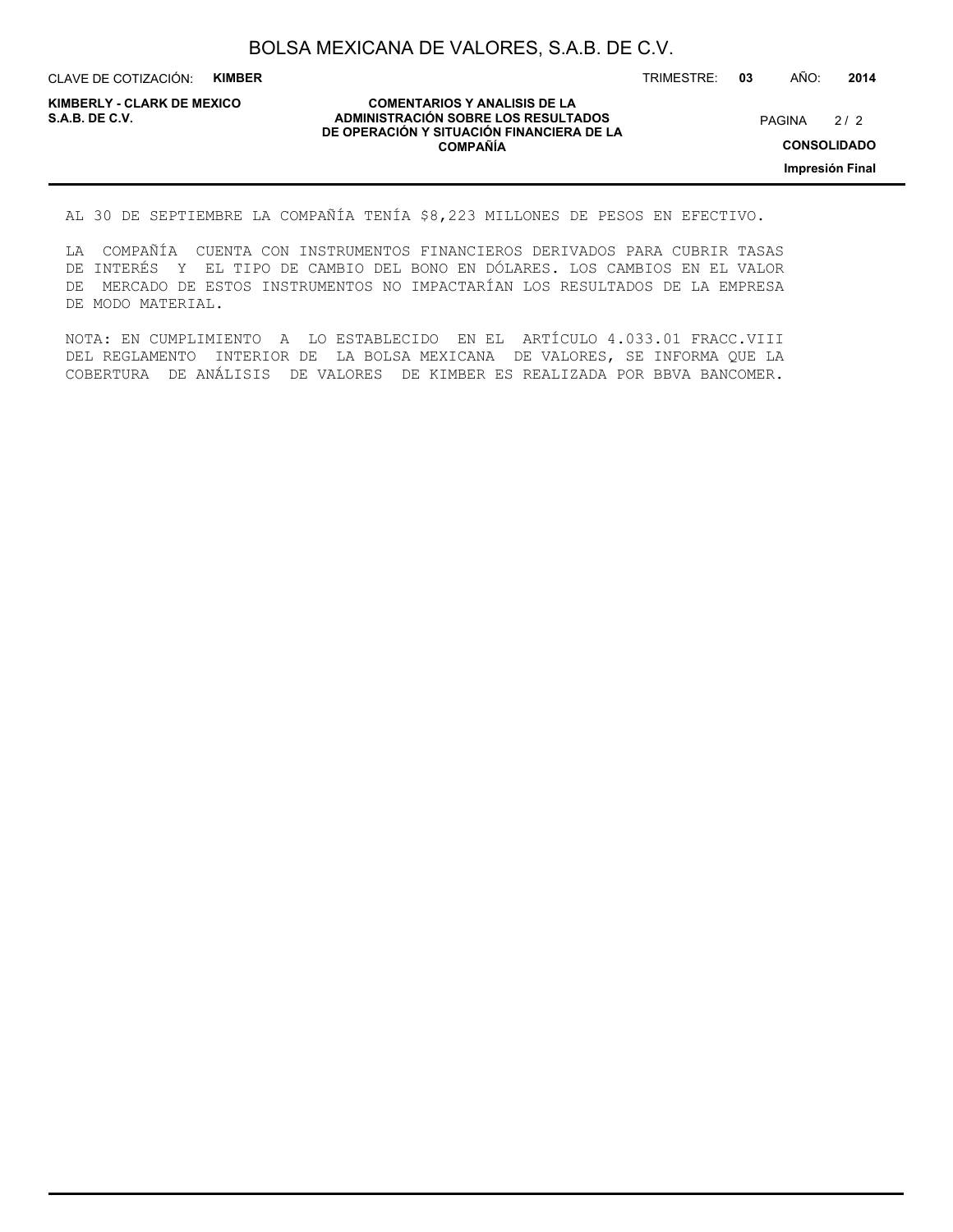CLAVE DE COTIZACIÓN: **KIMBER**

**KIMBERLY - CLARK DE MEXICO**

#### **COMENTARIOS Y ANALISIS DE LA ADMINISTRACIÓN SOBRE LOS RESULTADOS S.A.B. DE C.V.** PAGINA / 2 **DE OPERACIÓN Y SITUACIÓN FINANCIERA DE LA COMPAÑÍA**

 $2/2$ 

TRIMESTRE: **03** AÑO: **2014**

**CONSOLIDADO**

**Impresión Final**

AL 30 DE SEPTIEMBRE LA COMPAÑÍA TENÍA \$8,223 MILLONES DE PESOS EN EFECTIVO.

LA COMPAÑÍA CUENTA CON INSTRUMENTOS FINANCIEROS DERIVADOS PARA CUBRIR TASAS DE INTERÉS Y EL TIPO DE CAMBIO DEL BONO EN DÓLARES. LOS CAMBIOS EN EL VALOR DE MERCADO DE ESTOS INSTRUMENTOS NO IMPACTARÍAN LOS RESULTADOS DE LA EMPRESA DE MODO MATERIAL.

NOTA: EN CUMPLIMIENTO A LO ESTABLECIDO EN EL ARTÍCULO 4.033.01 FRACC.VIII DEL REGLAMENTO INTERIOR DE LA BOLSA MEXICANA DE VALORES, SE INFORMA QUE LA COBERTURA DE ANÁLISIS DE VALORES DE KIMBER ES REALIZADA POR BBVA BANCOMER.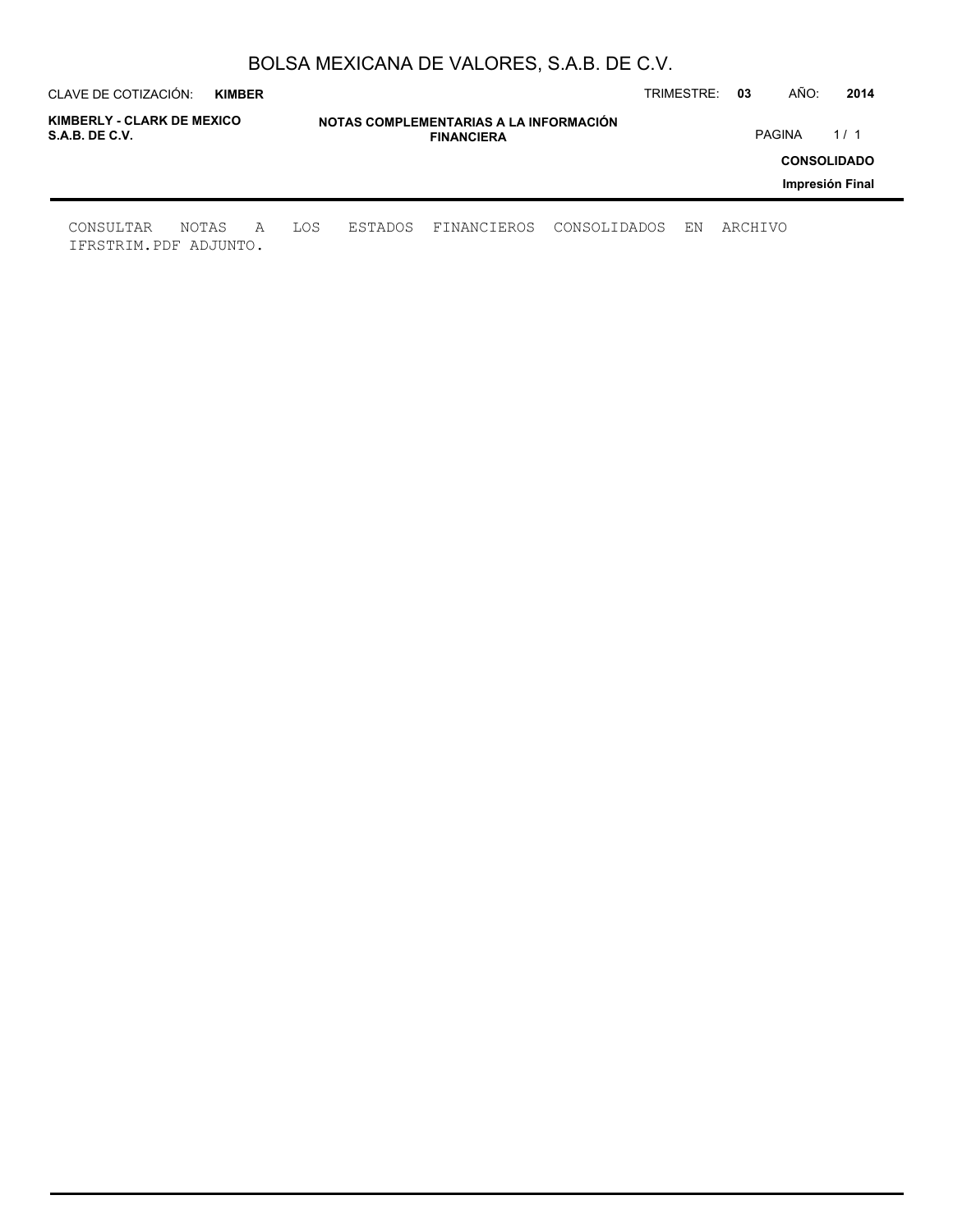| CLAVE DE COTIZACIÓN:                         | <b>KIMBER</b> |   |     |         |                                                             |              | TRIMESTRE: | 03      | AÑO:          | 2014               |
|----------------------------------------------|---------------|---|-----|---------|-------------------------------------------------------------|--------------|------------|---------|---------------|--------------------|
| KIMBERLY - CLARK DE MEXICO<br>S.A.B. DE C.V. |               |   |     |         | NOTAS COMPLEMENTARIAS A LA INFORMACIÓN<br><b>FINANCIERA</b> |              |            |         | <b>PAGINA</b> | 1/1                |
|                                              |               |   |     |         |                                                             |              |            |         |               | <b>CONSOLIDADO</b> |
|                                              |               |   |     |         |                                                             |              |            |         |               | Impresión Final    |
| CONSULTAR<br>IFRSTRIM.PDF ADJUNTO.           | NOTAS         | A | LOS | ESTADOS | FINANCIEROS                                                 | CONSOLIDADOS | EN         | ARCHIVO |               |                    |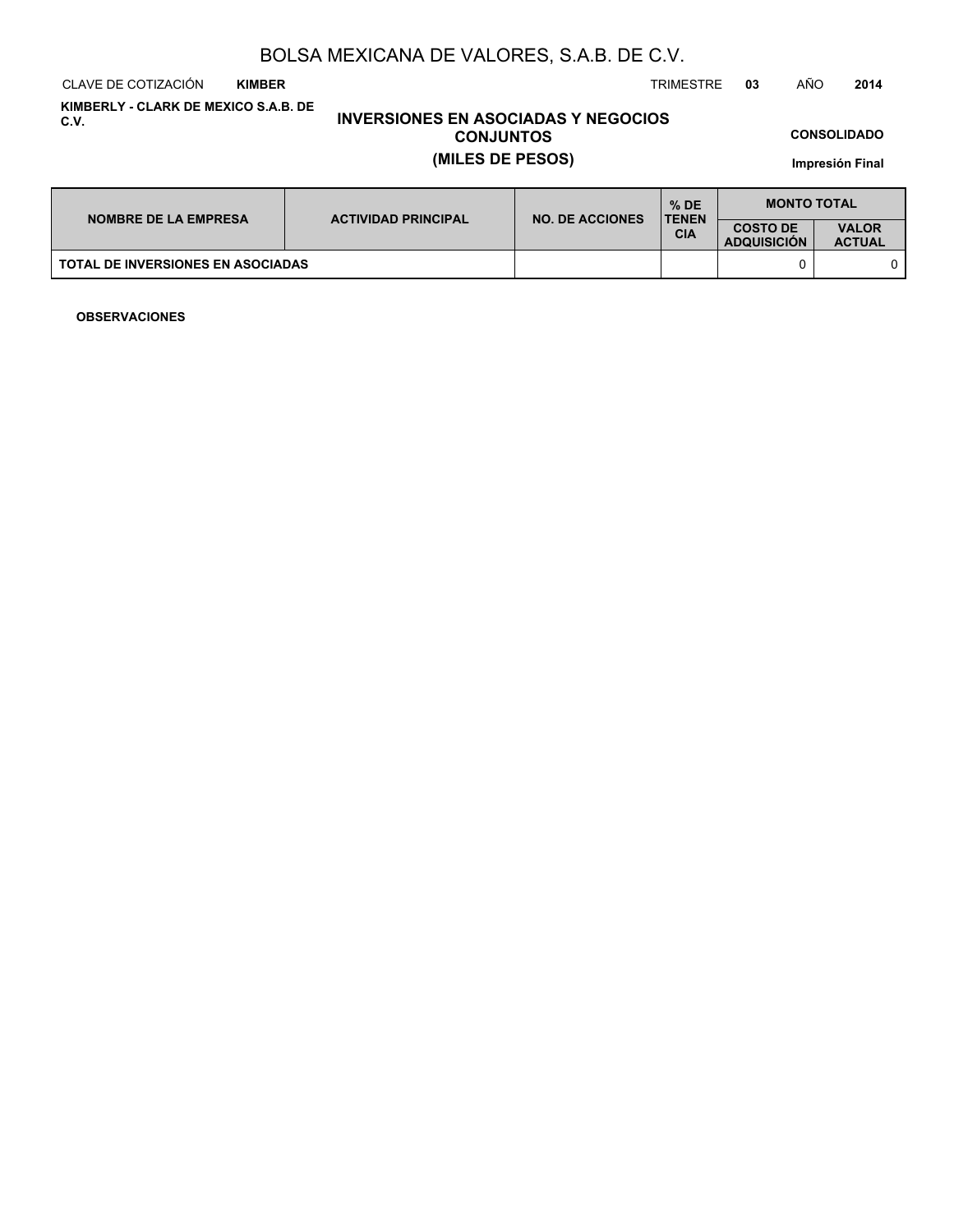CLAVE DE COTIZACIÓN TRIMESTRE **03** AÑO **2014 KIMBER**

**KIMBERLY - CLARK DE MEXICO S.A.B. DE C.V.**

# **INVERSIONES EN ASOCIADAS Y NEGOCIOS CONJUNTOS (MILES DE PESOS)**

**CONSOLIDADO**

**Impresión Final**

| <b>NOMBRE DE LA EMPRESA</b><br><b>TOTAL DE INVERSIONES EN ASOCIADAS</b> | <b>ACTIVIDAD PRINCIPAL</b> | <b>NO. DE ACCIONES</b> | $%$ DE<br><b>TENEN</b> | <b>MONTO TOTAL</b>                    |                               |
|-------------------------------------------------------------------------|----------------------------|------------------------|------------------------|---------------------------------------|-------------------------------|
|                                                                         |                            |                        | <b>CIA</b>             | <b>COSTO DE</b><br><b>ADQUISICION</b> | <b>VALOR</b><br><b>ACTUAL</b> |
|                                                                         |                            |                        |                        |                                       |                               |

**OBSERVACIONES**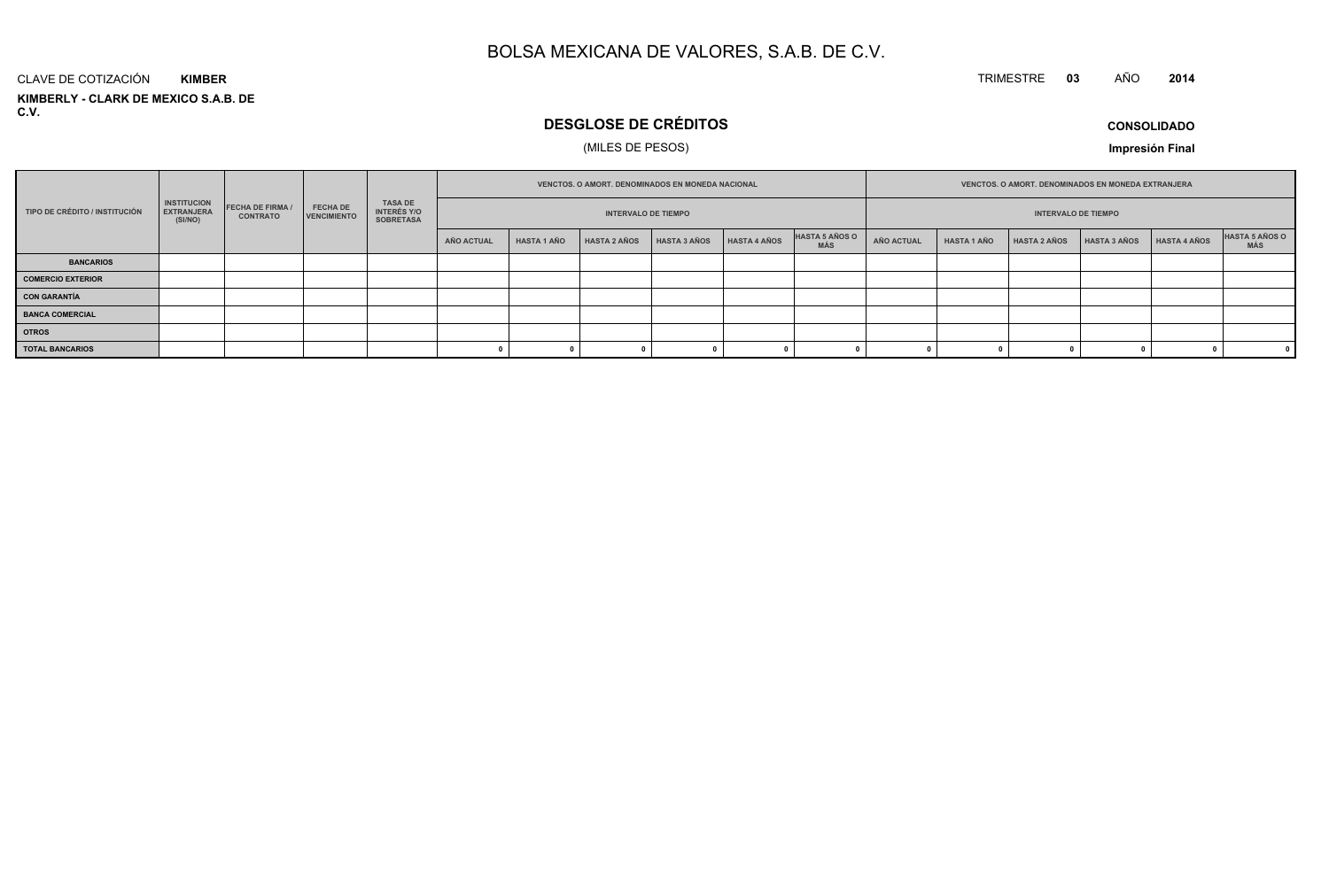#### TRIMESTRE **<sup>03</sup>** AÑO**<sup>2014</sup>**

**KIMBERLY - CLARK DE MEXICO S.A.B. DE C.V.**CLAVE DE COTIZACIÓN**KIMBER**

# **DESGLOSE DE CRÉDITOS**

# (MILES DE PESOS)

**CONSOLIDADO**

**Impresión Final**

|                          | <b>INSTITUCION</b><br><b>FECHA DE FIRMA</b><br><b>FECHA DE</b><br>TIPO DE CRÉDITO / INSTITUCIÓN<br><b>EXTRANJERA</b> |                 |                    |                                            | <b>VENCTOS, O AMORT, DENOMINADOS EN MONEDA NACIONAL</b> |                    |                            |                     |                     | VENCTOS. O AMORT. DENOMINADOS EN MONEDA EXTRANJERA |                   |                    |                            |                     |                     |                       |
|--------------------------|----------------------------------------------------------------------------------------------------------------------|-----------------|--------------------|--------------------------------------------|---------------------------------------------------------|--------------------|----------------------------|---------------------|---------------------|----------------------------------------------------|-------------------|--------------------|----------------------------|---------------------|---------------------|-----------------------|
|                          | (SI/NO)                                                                                                              | <b>CONTRATO</b> | <b>VENCIMIENTO</b> | TASA DE<br>INTERÉS Y/O<br><b>SOBRETASA</b> |                                                         |                    | <b>INTERVALO DE TIEMPO</b> |                     |                     |                                                    |                   |                    | <b>INTERVALO DE TIEMPO</b> |                     |                     |                       |
|                          |                                                                                                                      |                 |                    |                                            | AÑO ACTUAL                                              | <b>HASTA 1 AÑO</b> | <b>HASTA 2 AÑOS</b>        | <b>HASTA 3 AÑOS</b> | <b>HASTA 4 AÑOS</b> | HASTA 5 AÑOS O<br><b>MÁS</b>                       | <b>AÑO ACTUAL</b> | <b>HASTA 1 AÑO</b> | <b>HASTA 2 AÑOS</b>        | <b>HASTA 3 AÑOS</b> | <b>HASTA 4 AÑOS</b> | HASTA 5 AÑOS O<br>MÁS |
| <b>BANCARIOS</b>         |                                                                                                                      |                 |                    |                                            |                                                         |                    |                            |                     |                     |                                                    |                   |                    |                            |                     |                     |                       |
| <b>COMERCIO EXTERIOR</b> |                                                                                                                      |                 |                    |                                            |                                                         |                    |                            |                     |                     |                                                    |                   |                    |                            |                     |                     |                       |
| <b>CON GARANTÍA</b>      |                                                                                                                      |                 |                    |                                            |                                                         |                    |                            |                     |                     |                                                    |                   |                    |                            |                     |                     |                       |
| <b>BANCA COMERCIAL</b>   |                                                                                                                      |                 |                    |                                            |                                                         |                    |                            |                     |                     |                                                    |                   |                    |                            |                     |                     |                       |
| <b>OTROS</b>             |                                                                                                                      |                 |                    |                                            |                                                         |                    |                            |                     |                     |                                                    |                   |                    |                            |                     |                     |                       |
| <b>TOTAL BANCARIOS</b>   |                                                                                                                      |                 |                    |                                            |                                                         |                    |                            |                     |                     |                                                    |                   |                    |                            |                     |                     |                       |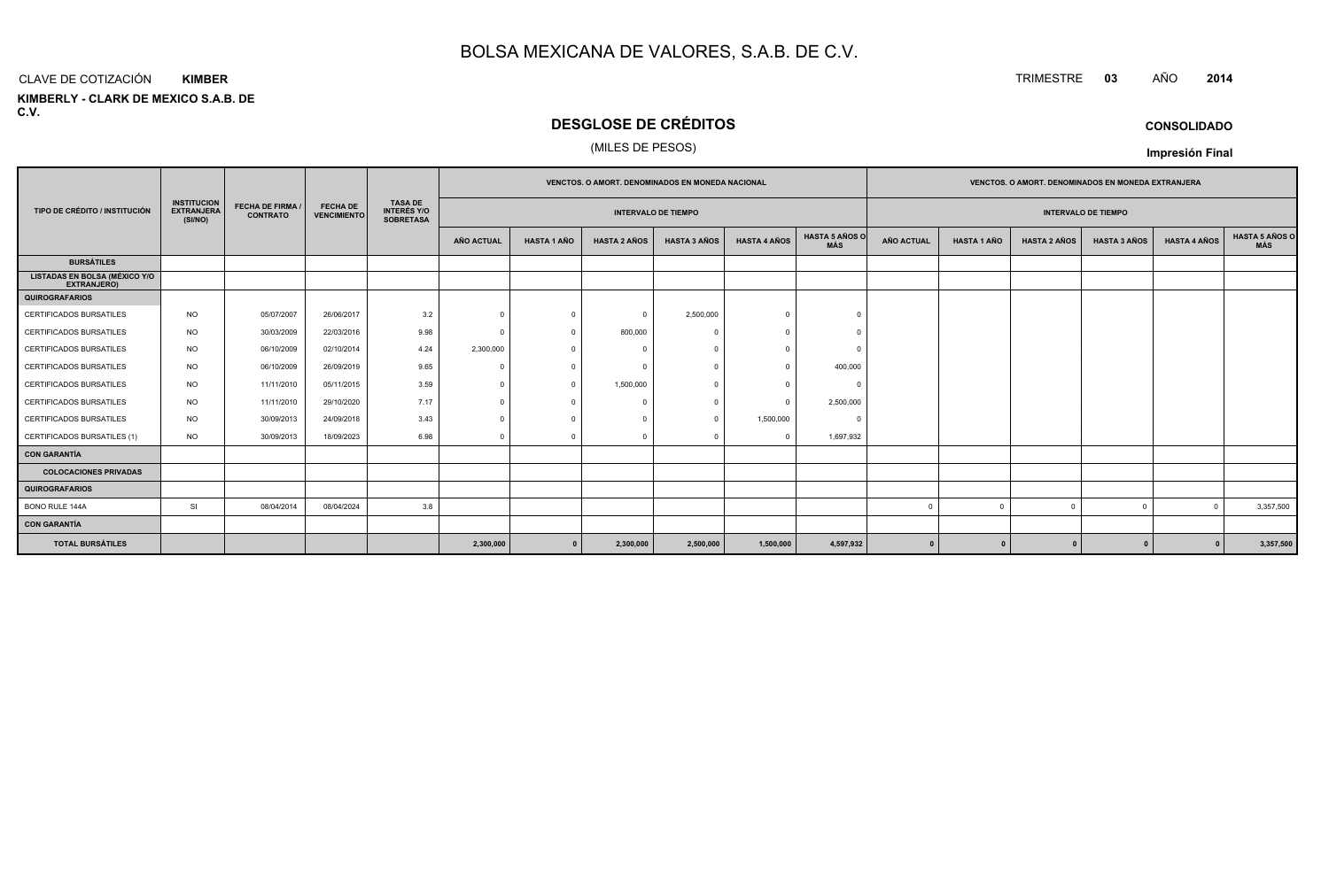#### CLAVE DE COTIZACIÓN TRIMESTRE **<sup>03</sup>** AÑO **<sup>2014</sup> KIMBER**

**KIMBERLY - CLARK DE MEXICO S.A.B. DE C.V.**

# **DESGLOSE DE CRÉDITOS**

## (MILES DE PESOS)

|                                                            |                                                    |                                            |                                       |                                                          |            |                    | <b>VENCTOS, O AMORT, DENOMINADOS EN MONEDA NACIONAL</b> |                            |                     |                              | <b>VENCTOS, O AMORT, DENOMINADOS EN MONEDA EXTRANJERA</b> |                    |                     |                            |                     |                              |
|------------------------------------------------------------|----------------------------------------------------|--------------------------------------------|---------------------------------------|----------------------------------------------------------|------------|--------------------|---------------------------------------------------------|----------------------------|---------------------|------------------------------|-----------------------------------------------------------|--------------------|---------------------|----------------------------|---------------------|------------------------------|
| TIPO DE CRÉDITO / INSTITUCIÓN                              | <b>INSTITUCION</b><br><b>EXTRANJERA</b><br>(SI/NO) | <b>FECHA DE FIRMA /</b><br><b>CONTRATO</b> | <b>FECHA DE</b><br><b>VENCIMIENTO</b> | <b>TASA DE</b><br><b>INTERÉS Y/O</b><br><b>SOBRETASA</b> |            |                    |                                                         | <b>INTERVALO DE TIEMPO</b> |                     |                              |                                                           |                    |                     | <b>INTERVALO DE TIEMPO</b> |                     |                              |
|                                                            |                                                    |                                            |                                       |                                                          | AÑO ACTUAL | <b>HASTA 1 AÑO</b> | <b>HASTA 2 AÑOS</b>                                     | <b>HASTA 3 AÑOS</b>        | <b>HASTA 4 AÑOS</b> | <b>HASTA 5 AÑOS O</b><br>MÁS | <b>AÑO ACTUAL</b>                                         | <b>HASTA 1 AÑO</b> | <b>HASTA 2 AÑOS</b> | <b>HASTA 3 AÑOS</b>        | <b>HASTA 4 AÑOS</b> | <b>HASTA 5 AÑOS C</b><br>MÁS |
| <b>BURSÁTILES</b>                                          |                                                    |                                            |                                       |                                                          |            |                    |                                                         |                            |                     |                              |                                                           |                    |                     |                            |                     |                              |
| <b>LISTADAS EN BOLSA (MÉXICO Y/O</b><br><b>EXTRANJERO)</b> |                                                    |                                            |                                       |                                                          |            |                    |                                                         |                            |                     |                              |                                                           |                    |                     |                            |                     |                              |
| <b>QUIROGRAFARIOS</b>                                      |                                                    |                                            |                                       |                                                          |            |                    |                                                         |                            |                     |                              |                                                           |                    |                     |                            |                     |                              |
| CERTIFICADOS BURSATILES                                    | <b>NO</b>                                          | 05/07/2007                                 | 26/06/2017                            | 3.2                                                      | $\Omega$   | $\Omega$           | $\Omega$                                                | 2,500,000                  | $\Omega$            | $\Omega$                     |                                                           |                    |                     |                            |                     |                              |
| <b>CERTIFICADOS BURSATILES</b>                             | <b>NO</b>                                          | 30/03/2009                                 | 22/03/2016                            | 9.98                                                     | $\Omega$   |                    | 800,000                                                 |                            |                     |                              |                                                           |                    |                     |                            |                     |                              |
| <b>CERTIFICADOS BURSATILES</b>                             | NO.                                                | 06/10/2009                                 | 02/10/2014                            | 4.24                                                     | 2,300,000  |                    | $\sqrt{ }$                                              |                            | $\Omega$            |                              |                                                           |                    |                     |                            |                     |                              |
| <b>CERTIFICADOS BURSATILES</b>                             | <b>NO</b>                                          | 06/10/2009                                 | 26/09/2019                            | 9.65                                                     | $\Omega$   |                    | $\Omega$                                                |                            | $\Omega$            | 400,000                      |                                                           |                    |                     |                            |                     |                              |
| CERTIFICADOS BURSATILES                                    | <b>NO</b>                                          | 11/11/2010                                 | 05/11/2015                            | 3.59                                                     | $\Omega$   | $\Omega$           | 1,500,000                                               |                            | $\Omega$            | $\Omega$                     |                                                           |                    |                     |                            |                     |                              |
| CERTIFICADOS BURSATILES                                    | <b>NO</b>                                          | 11/11/2010                                 | 29/10/2020                            | 7.17                                                     | $\Omega$   |                    |                                                         |                            | $\Omega$            | 2,500,000                    |                                                           |                    |                     |                            |                     |                              |
| <b>CERTIFICADOS BURSATILES</b>                             | NO.                                                | 30/09/2013                                 | 24/09/2018                            | 3.43                                                     | $\Omega$   |                    | $\Omega$                                                |                            | 1,500,000           | $\Omega$                     |                                                           |                    |                     |                            |                     |                              |
| CERTIFICADOS BURSATILES (1)                                | <b>NO</b>                                          | 30/09/2013                                 | 18/09/2023                            | 6.98                                                     | $\Omega$   |                    |                                                         |                            | $\Omega$            | 1,697,932                    |                                                           |                    |                     |                            |                     |                              |
| <b>CON GARANTÍA</b>                                        |                                                    |                                            |                                       |                                                          |            |                    |                                                         |                            |                     |                              |                                                           |                    |                     |                            |                     |                              |
| <b>COLOCACIONES PRIVADAS</b>                               |                                                    |                                            |                                       |                                                          |            |                    |                                                         |                            |                     |                              |                                                           |                    |                     |                            |                     |                              |
| <b>QUIROGRAFARIOS</b>                                      |                                                    |                                            |                                       |                                                          |            |                    |                                                         |                            |                     |                              |                                                           |                    |                     |                            |                     |                              |
| BONO RULE 144A                                             | SI                                                 | 08/04/2014                                 | 08/04/2024                            | 3.8                                                      |            |                    |                                                         |                            |                     |                              |                                                           |                    |                     | $\Omega$                   | $\Omega$            | 3,357,500                    |
| <b>CON GARANTÍA</b>                                        |                                                    |                                            |                                       |                                                          |            |                    |                                                         |                            |                     |                              |                                                           |                    |                     |                            |                     |                              |
| <b>TOTAL BURSÁTILES</b>                                    |                                                    |                                            |                                       |                                                          | 2,300,000  | $\mathbf{0}$       | 2,300,000                                               | 2,500,000                  | 1,500,000           | 4,597,932                    | $\mathbf{0}$                                              |                    |                     | $\mathbf{r}$               |                     | 3,357,500                    |

**Impresión Final**

**CONSOLIDADO**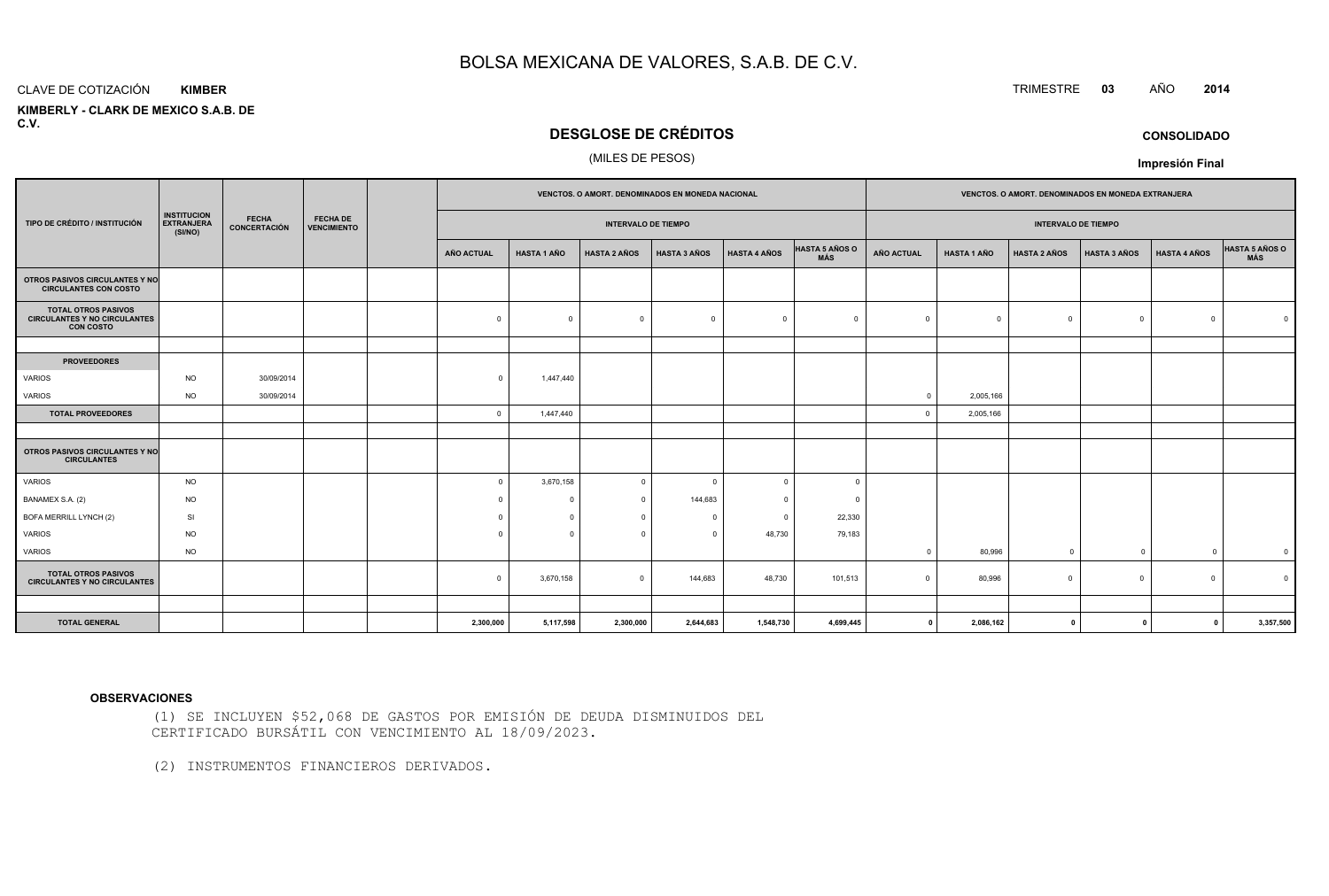#### CLAVE DE COTIZACIÓN**KIMBER**

 **KIMBERLY - CLARK DE MEXICO S.A.B. DEC.V.**

# **DESGLOSE DE CRÉDITOS**

### (MILES DE PESOS)

|                                                                                       |                                                    |                                     |                                       |                |                    |                            | VENCTOS. O AMORT. DENOMINADOS EN MONEDA NACIONAL |                     |                                     | VENCTOS. O AMORT. DENOMINADOS EN MONEDA EXTRANJERA |                    |                            |                     |                     |                              |  |
|---------------------------------------------------------------------------------------|----------------------------------------------------|-------------------------------------|---------------------------------------|----------------|--------------------|----------------------------|--------------------------------------------------|---------------------|-------------------------------------|----------------------------------------------------|--------------------|----------------------------|---------------------|---------------------|------------------------------|--|
| TIPO DE CRÉDITO / INSTITUCIÓN                                                         | <b>INSTITUCION</b><br><b>EXTRANJERA</b><br>(SI/NO) | <b>FECHA</b><br><b>CONCERTACIÓN</b> | <b>FECHA DE</b><br><b>VENCIMIENTO</b> |                |                    | <b>INTERVALO DE TIEMPO</b> |                                                  |                     |                                     |                                                    |                    | <b>INTERVALO DE TIEMPO</b> |                     |                     |                              |  |
|                                                                                       |                                                    |                                     |                                       | AÑO ACTUAL     | <b>HASTA 1 AÑO</b> | <b>HASTA 2 AÑOS</b>        | <b>HASTA 3 AÑOS</b>                              | <b>HASTA 4 AÑOS</b> | <b>HASTA 5 AÑOS O</b><br><b>MÁS</b> | <b>AÑO ACTUAL</b>                                  | <b>HASTA 1 AÑO</b> | <b>HASTA 2 AÑOS</b>        | <b>HASTA 3 AÑOS</b> | <b>HASTA 4 AÑOS</b> | HASTA 5 AÑOS O<br><b>MÁS</b> |  |
| OTROS PASIVOS CIRCULANTES Y NO<br><b>CIRCULANTES CON COSTO</b>                        |                                                    |                                     |                                       |                |                    |                            |                                                  |                     |                                     |                                                    |                    |                            |                     |                     |                              |  |
| <b>TOTAL OTROS PASIVOS</b><br><b>CIRCULANTES Y NO CIRCULANTES</b><br><b>CON COSTO</b> |                                                    |                                     |                                       | $\Omega$       | $\Omega$           | $\Omega$                   | $\Omega$                                         | $\Omega$            | $\Omega$                            |                                                    | $\Omega$           | $\Omega$                   | $^{\circ}$          | $\Omega$            |                              |  |
|                                                                                       |                                                    |                                     |                                       |                |                    |                            |                                                  |                     |                                     |                                                    |                    |                            |                     |                     |                              |  |
| <b>PROVEEDORES</b>                                                                    |                                                    |                                     |                                       |                |                    |                            |                                                  |                     |                                     |                                                    |                    |                            |                     |                     |                              |  |
| <b>VARIOS</b>                                                                         | <b>NO</b>                                          | 30/09/2014                          |                                       | $\Omega$       | 1,447,440          |                            |                                                  |                     |                                     |                                                    |                    |                            |                     |                     |                              |  |
| VARIOS                                                                                | <b>NO</b>                                          | 30/09/2014                          |                                       |                |                    |                            |                                                  |                     |                                     | $\Omega$                                           | 2,005,166          |                            |                     |                     |                              |  |
| <b>TOTAL PROVEEDORES</b>                                                              |                                                    |                                     |                                       | $\overline{0}$ | 1,447,440          |                            |                                                  |                     |                                     | $\Omega$                                           | 2,005,166          |                            |                     |                     |                              |  |
|                                                                                       |                                                    |                                     |                                       |                |                    |                            |                                                  |                     |                                     |                                                    |                    |                            |                     |                     |                              |  |
| <b>OTROS PASIVOS CIRCULANTES Y NO</b><br><b>CIRCULANTES</b>                           |                                                    |                                     |                                       |                |                    |                            |                                                  |                     |                                     |                                                    |                    |                            |                     |                     |                              |  |
| VARIOS                                                                                | <b>NO</b>                                          |                                     |                                       | $\overline{0}$ | 3,670,158          | $\mathbf 0$                | $\Omega$                                         | $\Omega$            | $\Omega$                            |                                                    |                    |                            |                     |                     |                              |  |
| BANAMEX S.A. (2)                                                                      | <b>NO</b>                                          |                                     |                                       | $\Omega$       | $\Omega$           | $\overline{0}$             | 144,683                                          | $\Omega$            | $\Omega$                            |                                                    |                    |                            |                     |                     |                              |  |
| BOFA MERRILL LYNCH (2)                                                                | SI                                                 |                                     |                                       | $\Omega$       | $\Omega$           | $\mathbf 0$                | $\Omega$                                         | $\overline{0}$      | 22,330                              |                                                    |                    |                            |                     |                     |                              |  |
| VARIOS                                                                                | <b>NO</b>                                          |                                     |                                       | $\Omega$       | $\Omega$           | $\mathbf 0$                | $\Omega$                                         | 48,730              | 79,183                              |                                                    |                    |                            |                     |                     |                              |  |
| VARIOS                                                                                | <b>NO</b>                                          |                                     |                                       |                |                    |                            |                                                  |                     |                                     | $\Omega$                                           | 80,996             | $^{\circ}$                 | $\overline{0}$      | $\overline{0}$      | $\overline{\mathbf{0}}$      |  |
| <b>TOTAL OTROS PASIVOS</b><br><b>CIRCULANTES Y NO CIRCULANTES</b>                     |                                                    |                                     |                                       | $\mathbf 0$    | 3,670,158          | $\mathbf 0$                | 144,683                                          | 48,730              | 101,513                             | $\Omega$                                           | 80,996             | $\Omega$                   | $\overline{0}$      | $\Omega$            | $\Omega$                     |  |
|                                                                                       |                                                    |                                     |                                       |                |                    |                            |                                                  |                     |                                     |                                                    |                    |                            |                     |                     |                              |  |
| <b>TOTAL GENERAL</b>                                                                  |                                                    |                                     |                                       | 2,300,000      | 5,117,598          | 2,300,000                  | 2,644,683                                        | 1,548,730           | 4,699,445                           | $\mathbf 0$                                        | 2,086,162          | 0                          | $\mathbf{0}$        | $\mathbf{0}$        | 3,357,500                    |  |

#### **OBSERVACIONES**

(1) SE INCLUYEN \$52,068 DE GASTOS POR EMISIÓN DE DEUDA DISMINUIDOS DELCERTIFICADO BURSÁTIL CON VENCIMIENTO AL 18/09/2023.

(2) INSTRUMENTOS FINANCIEROS DERIVADOS.

TRIMESTRE **<sup>03</sup>** AÑO **<sup>2014</sup>**

**CONSOLIDADO**

**Impresión Final**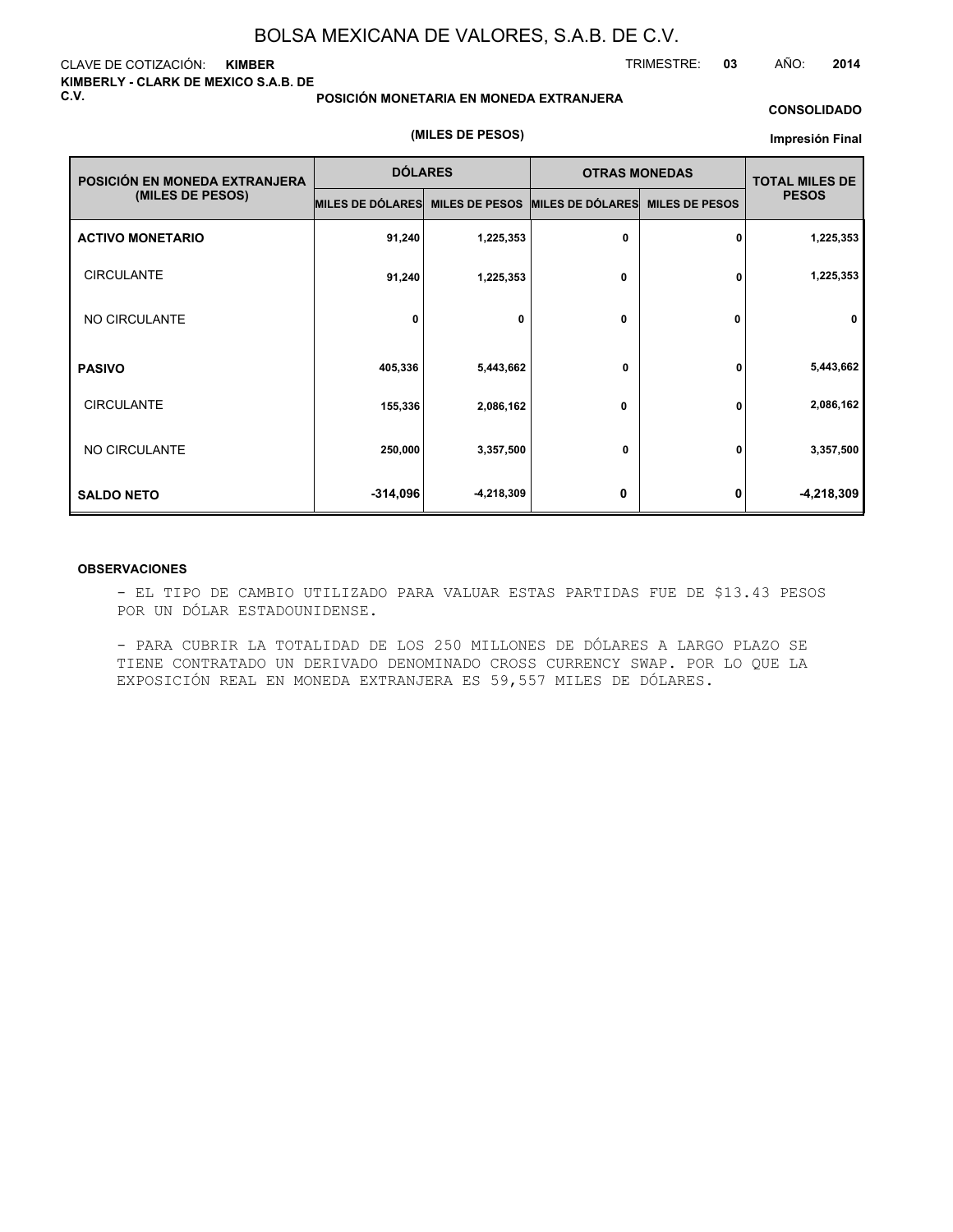#### CLAVE DE COTIZACIÓN: **KIMBER KIMBERLY - CLARK DE MEXICO S.A.B. DE C.V.**

#### **POSICIÓN MONETARIA EN MONEDA EXTRANJERA**

#### **CONSOLIDADO**

TRIMESTRE: **03** AÑO: **2014**

### **(MILES DE PESOS)**

#### **Impresión Final**

| POSICIÓN EN MONEDA EXTRANJERA | <b>DÓLARES</b>   |                       | <b>OTRAS MONEDAS</b> |                       | <b>TOTAL MILES DE</b> |  |
|-------------------------------|------------------|-----------------------|----------------------|-----------------------|-----------------------|--|
| (MILES DE PESOS)              | MILES DE DÓLARES | <b>MILES DE PESOS</b> | MILES DE DÓLARES     | <b>MILES DE PESOS</b> | <b>PESOS</b>          |  |
| <b>ACTIVO MONETARIO</b>       | 91,240           | 1,225,353             | $\mathbf 0$          | 0                     | 1,225,353             |  |
| <b>CIRCULANTE</b>             | 91,240           | 1,225,353             | 0                    | 0                     | 1,225,353             |  |
| NO CIRCULANTE                 | 0                | 0                     | 0                    | 0                     | 0                     |  |
| <b>PASIVO</b>                 | 405,336          | 5,443,662             | 0                    | 0                     | 5,443,662             |  |
| <b>CIRCULANTE</b>             | 155,336          | 2,086,162             | 0                    | 0                     | 2,086,162             |  |
| NO CIRCULANTE                 | 250,000          | 3,357,500             | 0                    | 0                     | 3,357,500             |  |
| <b>SALDO NETO</b>             | $-314,096$       | -4,218,309            | 0                    | 0                     | $-4,218,309$          |  |

#### **OBSERVACIONES**

- EL TIPO DE CAMBIO UTILIZADO PARA VALUAR ESTAS PARTIDAS FUE DE \$13.43 PESOS POR UN DÓLAR ESTADOUNIDENSE.

- PARA CUBRIR LA TOTALIDAD DE LOS 250 MILLONES DE DÓLARES A LARGO PLAZO SE TIENE CONTRATADO UN DERIVADO DENOMINADO CROSS CURRENCY SWAP. POR LO QUE LA EXPOSICIÓN REAL EN MONEDA EXTRANJERA ES 59,557 MILES DE DÓLARES.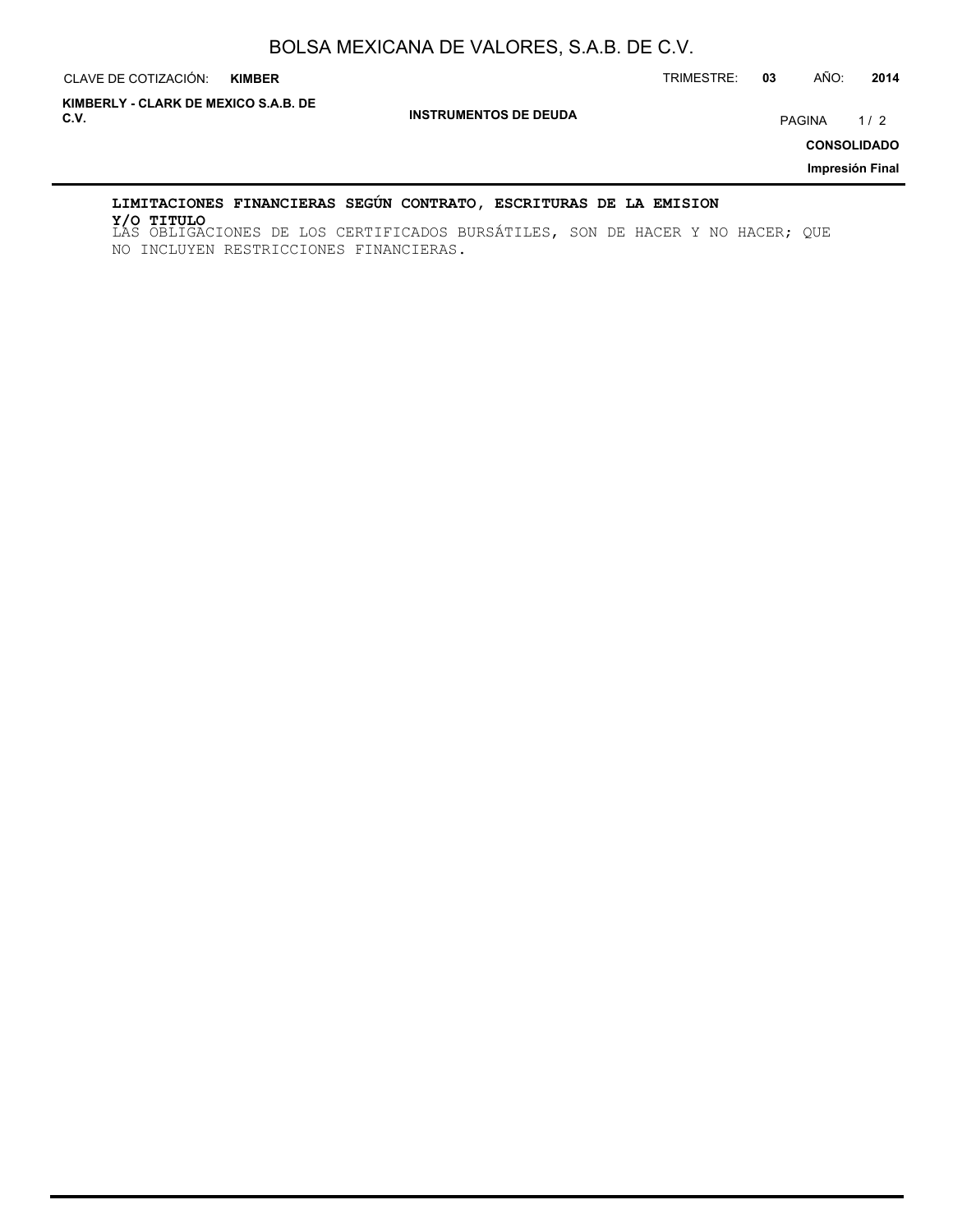CLAVE DE COTIZACIÓN: TRIMESTRE: **03** AÑO: **2014**

**INSTRUMENTOS DE DEUDA C.V.** PAGINA 1 / 2 **KIMBERLY - CLARK DE MEXICO S.A.B. DE**

**CONSOLIDADO**

**Impresión Final**

## **LIMITACIONES FINANCIERAS SEGÚN CONTRATO, ESCRITURAS DE LA EMISION**

LAS OBLIGACIONES DE LOS CERTIFICADOS BURSÁTILES, SON DE HACER Y NO HACER; QUE **Y/O TITULO**NO INCLUYEN RESTRICCIONES FINANCIERAS.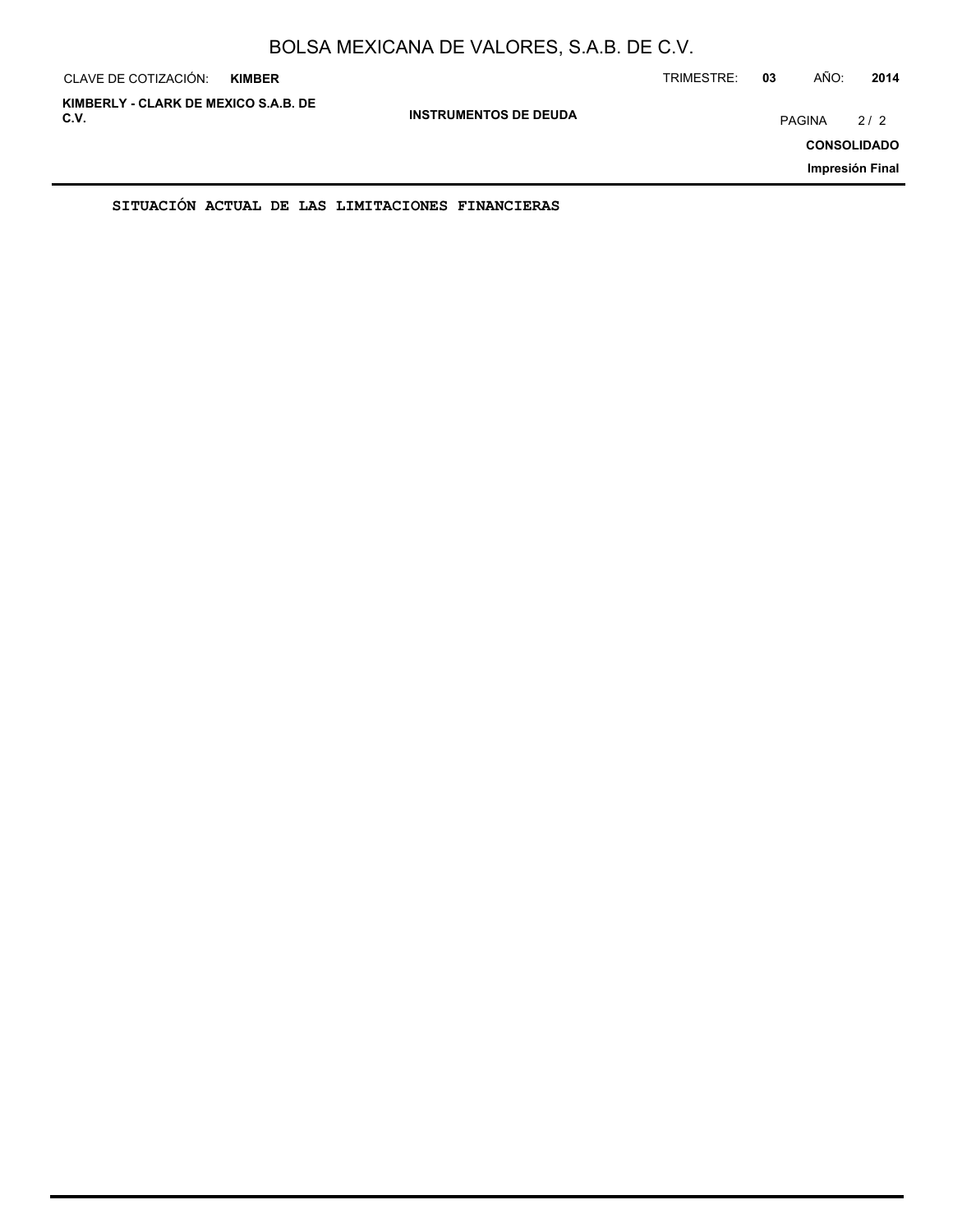| CLAVE DE COTIZACIÓN:                         | <b>KIMBER</b> |                              | TRIMESTRE: | 03     | AÑO: | 2014                                         |
|----------------------------------------------|---------------|------------------------------|------------|--------|------|----------------------------------------------|
| KIMBERLY - CLARK DE MEXICO S.A.B. DE<br>C.V. |               | <b>INSTRUMENTOS DE DEUDA</b> |            | PAGINA |      | 2/2<br><b>CONSOLIDADO</b><br>Impresión Final |
|                                              |               |                              |            |        |      |                                              |

**SITUACIÓN ACTUAL DE LAS LIMITACIONES FINANCIERAS**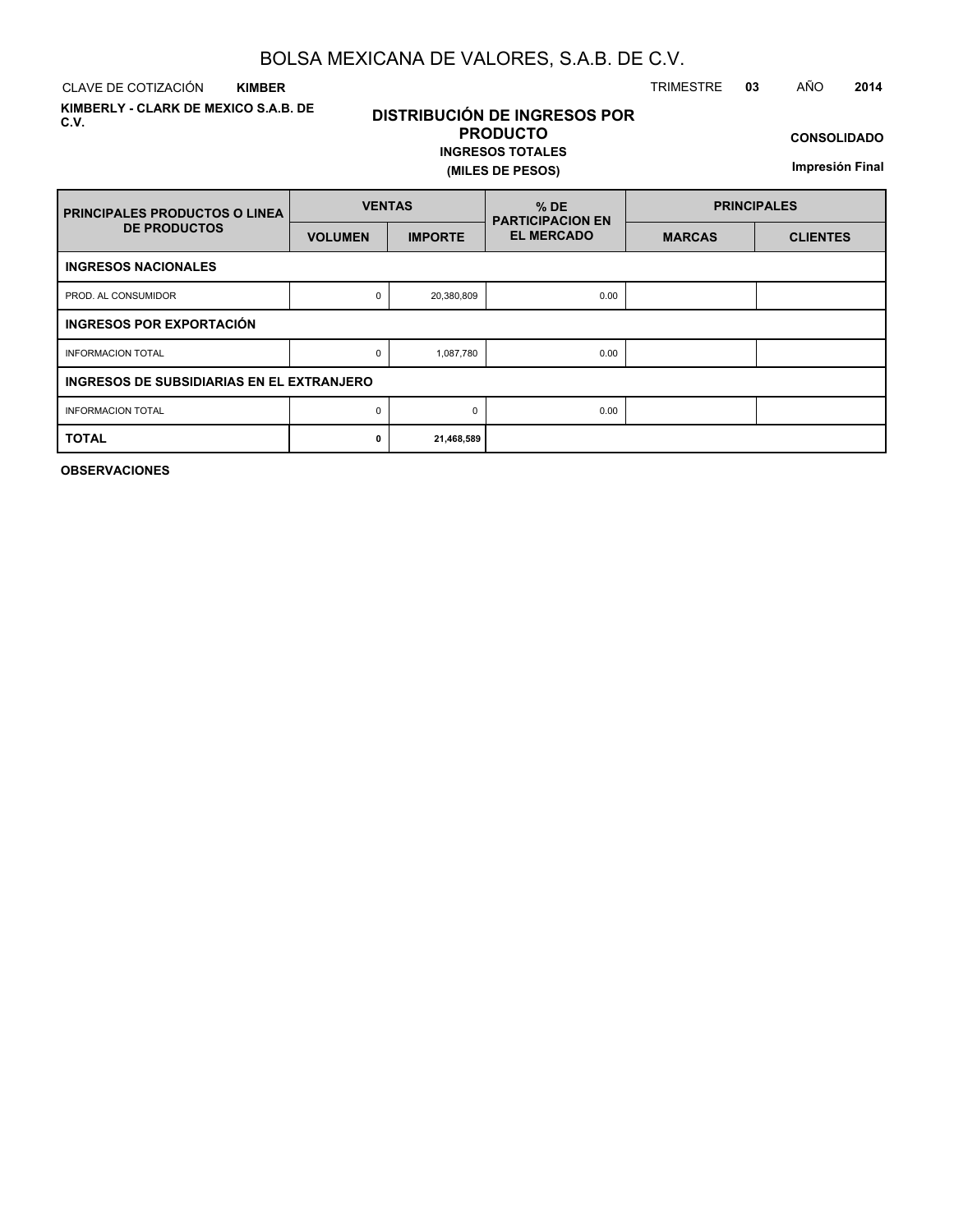CLAVE DE COTIZACIÓN TRIMESTRE **03** AÑO **2014 KIMBER**

**KIMBERLY - CLARK DE MEXICO S.A.B. DE C.V.**

# **DISTRIBUCIÓN DE INGRESOS POR PRODUCTO**

**INGRESOS TOTALES (MILES DE PESOS)**

**CONSOLIDADO**

**Impresión Final**

| <b>PRINCIPALES PRODUCTOS O LINEA</b>      | <b>VENTAS</b>  |                | $%$ DE<br><b>PARTICIPACION EN</b> |               | <b>PRINCIPALES</b> |
|-------------------------------------------|----------------|----------------|-----------------------------------|---------------|--------------------|
| <b>DE PRODUCTOS</b>                       | <b>VOLUMEN</b> | <b>IMPORTE</b> | <b>EL MERCADO</b>                 | <b>MARCAS</b> | <b>CLIENTES</b>    |
| <b>INGRESOS NACIONALES</b>                |                |                |                                   |               |                    |
| PROD. AL CONSUMIDOR                       | 0              | 20,380,809     | 0.00                              |               |                    |
| INGRESOS POR EXPORTACIÓN                  |                |                |                                   |               |                    |
| <b>INFORMACION TOTAL</b>                  | 0              | 1,087,780      | 0.00                              |               |                    |
| INGRESOS DE SUBSIDIARIAS EN EL EXTRANJERO |                |                |                                   |               |                    |
| <b>INFORMACION TOTAL</b>                  | 0              | $\Omega$       | 0.00                              |               |                    |
| <b>TOTAL</b>                              | 0              | 21,468,589     |                                   |               |                    |

**OBSERVACIONES**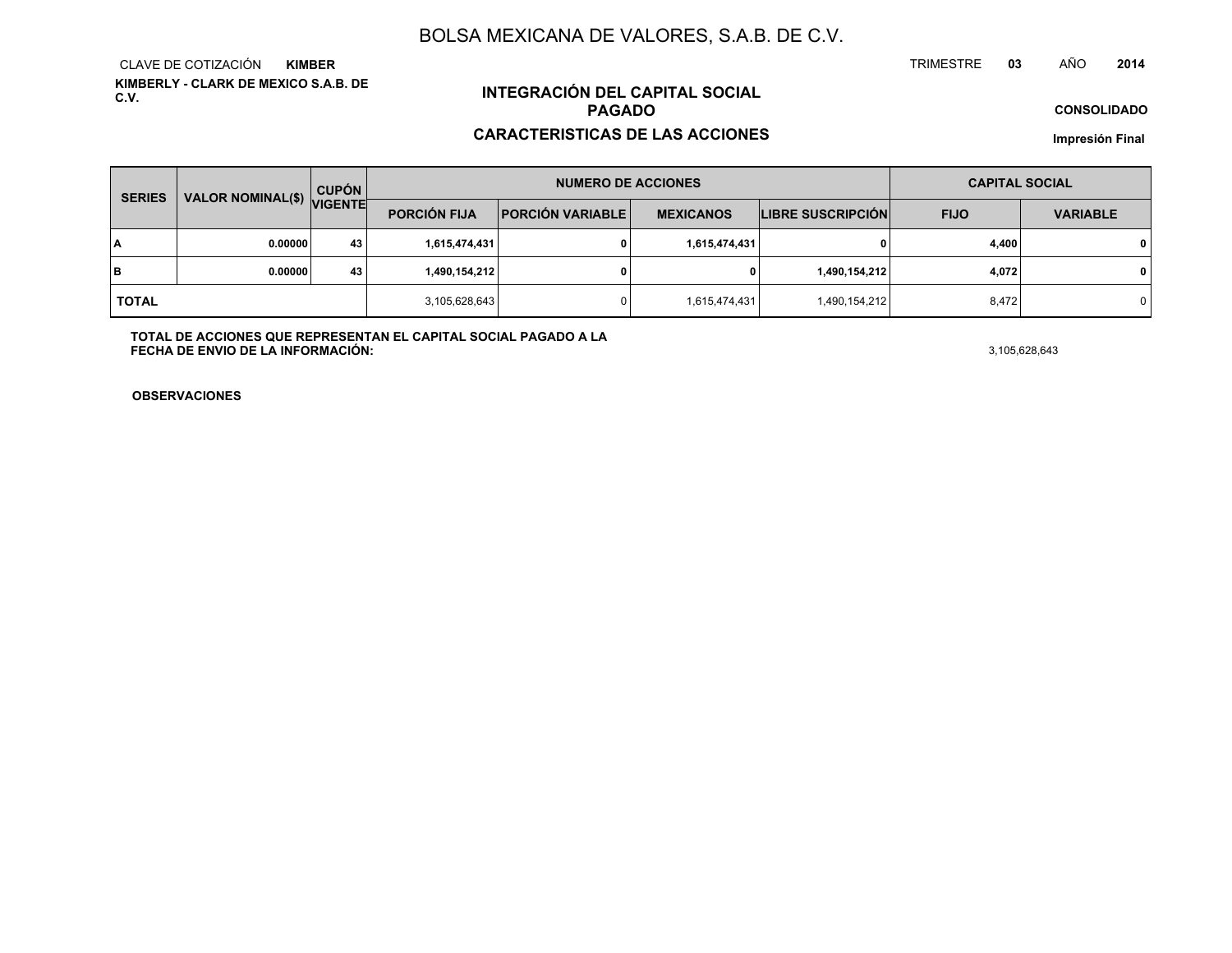**KIMBERLY - CLARK DE MEXICO S.A.B. DE C.V.**CLAVE DE COTIZACIÓN**KIMBER**

# **INTEGRACIÓN DEL CAPITAL SOCIALPAGADO**

#### **CARACTERISTICAS DE LAS ACCIONES**

**CONSOLIDADO**

**<sup>03</sup>** AÑO

**Impresión Final**

| <b>SERIES</b> | <b>VALOR NOMINAL(\$)</b> | <b>CUPÓN</b>   |                     | <b>NUMERO DE ACCIONES</b> |                  |                          | <b>CAPITAL SOCIAL</b> |                 |
|---------------|--------------------------|----------------|---------------------|---------------------------|------------------|--------------------------|-----------------------|-----------------|
|               |                          | <b>VIGENTE</b> | <b>PORCIÓN FIJA</b> | <b>PORCIÓN VARIABLE</b>   | <b>MEXICANOS</b> | <b>LIBRE SUSCRIPCIÓN</b> | <b>FIJO</b>           | <b>VARIABLE</b> |
| I٨            | 0.00000                  | 43             | 1,615,474,431       |                           | 1,615,474,431    |                          | 4,400                 | $\mathbf 0$     |
| lв            | 0.00000                  | 43             | 1,490,154,212       |                           |                  | 1,490,154,212            | 4,072                 | $\mathbf 0$     |
| <b>TOTAL</b>  |                          |                | 3,105,628,643       |                           | 1,615,474,431    | 1,490,154,212            | 8,472                 | 0 I             |

**TOTAL DE ACCIONES QUE REPRESENTAN EL CAPITAL SOCIAL PAGADO A LAFECHA DE ENVIO DE LA INFORMACIÓN:** $3,105,628,643$ 

TRIMESTRE

**OBSERVACIONES**

**<sup>2014</sup>**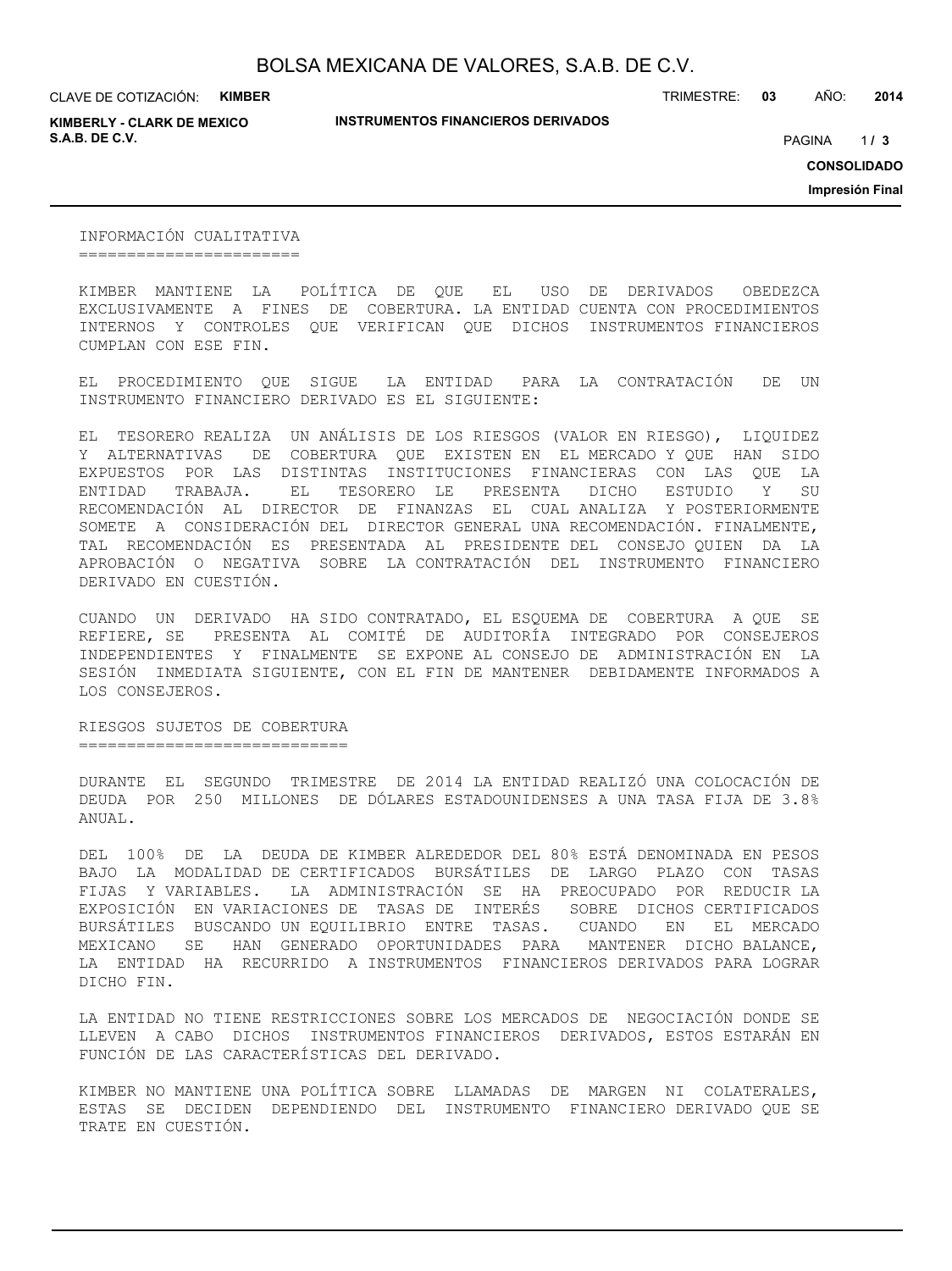**KIMBERLY - CLARK DE MEXICO S.A.B. DE C.V.** PAGINA **/ 3**

**INSTRUMENTOS FINANCIEROS DERIVADOS**

TRIMESTRE: **03** AÑO: **2014**

 $1/3$ 

**CONSOLIDADO**

**Impresión Final**

INFORMACIÓN CUALITATIVA =======================

KIMBER MANTIENE LA POLÍTICA DE QUE EL USO DE DERIVADOS OBEDEZCA EXCLUSIVAMENTE A FINES DE COBERTURA. LA ENTIDAD CUENTA CON PROCEDIMIENTOS INTERNOS Y CONTROLES QUE VERIFICAN QUE DICHOS INSTRUMENTOS FINANCIEROS CUMPLAN CON ESE FIN.

EL PROCEDIMIENTO QUE SIGUE LA ENTIDAD PARA LA CONTRATACIÓN DE UN INSTRUMENTO FINANCIERO DERIVADO ES EL SIGUIENTE:

EL TESORERO REALIZA UN ANÁLISIS DE LOS RIESGOS (VALOR EN RIESGO), LIQUIDEZ Y ALTERNATIVAS DE COBERTURA QUE EXISTEN EN EL MERCADO Y QUE HAN SIDO EXPUESTOS POR LAS DISTINTAS INSTITUCIONES FINANCIERAS CON LAS QUE LA ENTIDAD TRABAJA. EL TESORERO LE PRESENTA DICHO ESTUDIO Y SU RECOMENDACIÓN AL DIRECTOR DE FINANZAS EL CUAL ANALIZA Y POSTERIORMENTE SOMETE A CONSIDERACIÓN DEL DIRECTOR GENERAL UNA RECOMENDACIÓN. FINALMENTE, TAL RECOMENDACIÓN ES PRESENTADA AL PRESIDENTE DEL CONSEJO QUIEN DA LA APROBACIÓN O NEGATIVA SOBRE LA CONTRATACIÓN DEL INSTRUMENTO FINANCIERO DERIVADO EN CUESTIÓN.

CUANDO UN DERIVADO HA SIDO CONTRATADO, EL ESQUEMA DE COBERTURA A QUE SE REFIERE, SE PRESENTA AL COMITÉ DE AUDITORÍA INTEGRADO POR CONSEJEROS INDEPENDIENTES Y FINALMENTE SE EXPONE AL CONSEJO DE ADMINISTRACIÓN EN LA SESIÓN INMEDIATA SIGUIENTE, CON EL FIN DE MANTENER DEBIDAMENTE INFORMADOS A LOS CONSEJEROS.

RIESGOS SUJETOS DE COBERTURA ============================

DURANTE EL SEGUNDO TRIMESTRE DE 2014 LA ENTIDAD REALIZÓ UNA COLOCACIÓN DE DEUDA POR 250 MILLONES DE DÓLARES ESTADOUNIDENSES A UNA TASA FIJA DE 3.8% ANUAL.

DEL 100% DE LA DEUDA DE KIMBER ALREDEDOR DEL 80% ESTÁ DENOMINADA EN PESOS BAJO LA MODALIDAD DE CERTIFICADOS BURSÁTILES DE LARGO PLAZO CON TASAS FIJAS Y VARIABLES. LA ADMINISTRACIÓN SE HA PREOCUPADO POR REDUCIR LA EXPOSICIÓN EN VARIACIONES DE TASAS DE INTERÉS SOBRE DICHOS CERTIFICADOS BURSÁTILES BUSCANDO UN EQUILIBRIO ENTRE TASAS. CUANDO EN EL MERCADO MEXICANO SE HAN GENERADO OPORTUNIDADES PARA MANTENER DICHO BALANCE, LA ENTIDAD HA RECURRIDO A INSTRUMENTOS FINANCIEROS DERIVADOS PARA LOGRAR DICHO FIN.

LA ENTIDAD NO TIENE RESTRICCIONES SOBRE LOS MERCADOS DE NEGOCIACIÓN DONDE SE LLEVEN A CABO DICHOS INSTRUMENTOS FINANCIEROS DERIVADOS, ESTOS ESTARÁN EN FUNCIÓN DE LAS CARACTERÍSTICAS DEL DERIVADO.

KIMBER NO MANTIENE UNA POLÍTICA SOBRE LLAMADAS DE MARGEN NI COLATERALES, ESTAS SE DECIDEN DEPENDIENDO DEL INSTRUMENTO FINANCIERO DERIVADO QUE SE TRATE EN CUESTIÓN.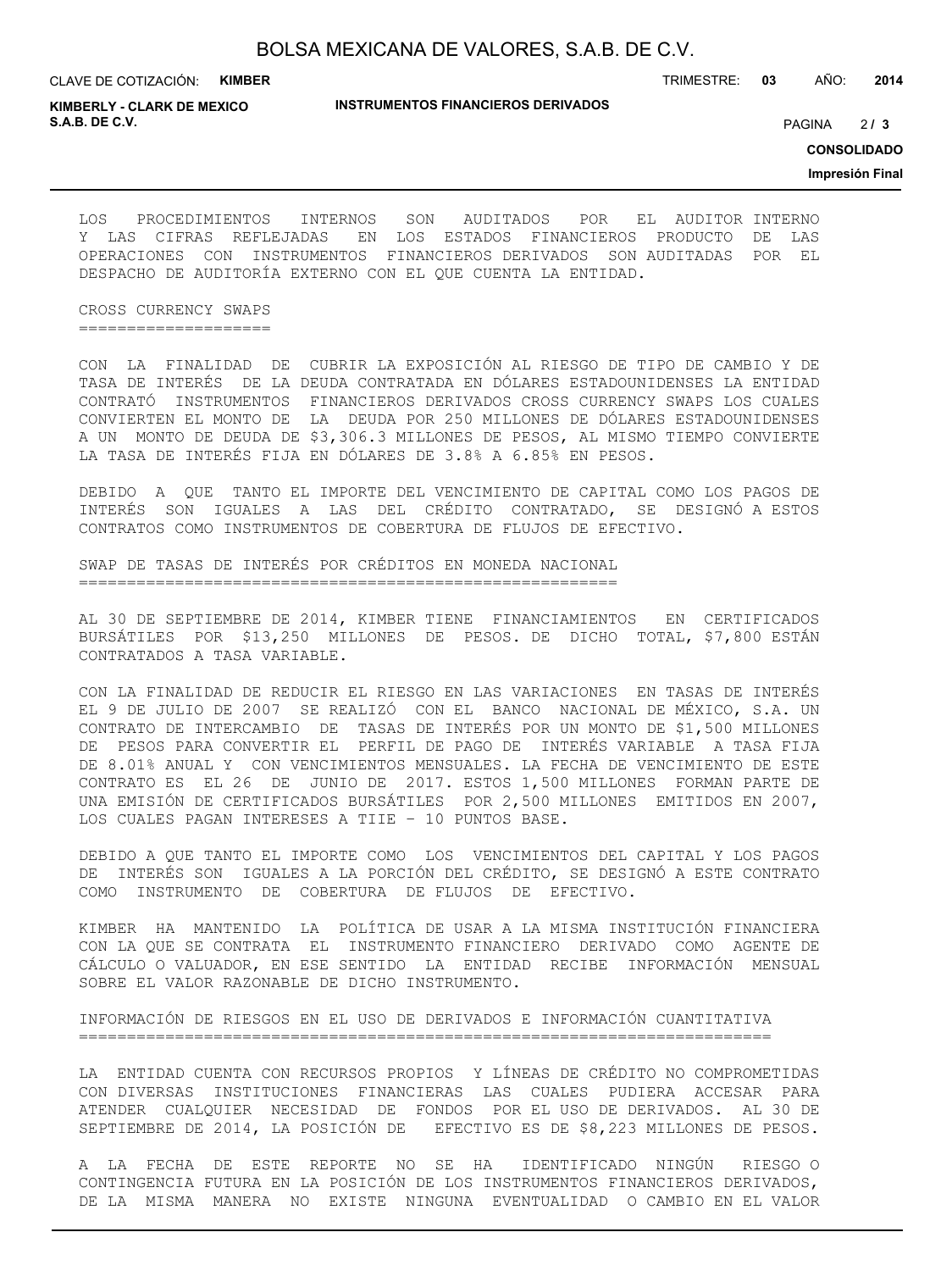|  | BOLSA MEXICANA DE VALORES, S.A.B. DE C.V. |  |
|--|-------------------------------------------|--|
|--|-------------------------------------------|--|

**INSTRUMENTOS FINANCIEROS DERIVADOS**

TRIMESTRE: **03** AÑO: **2014**

**KIMBERLY - CLARK DE MEXICO S.A.B. DE C.V.** PAGINA **/ 3**

 $213$ 

**CONSOLIDADO**

**Impresión Final**

LOS PROCEDIMIENTOS INTERNOS SON AUDITADOS POR EL AUDITOR INTERNO Y LAS CIFRAS REFLEJADAS EN LOS ESTADOS FINANCIEROS PRODUCTO DE LAS OPERACIONES CON INSTRUMENTOS FINANCIEROS DERIVADOS SON AUDITADAS POR EL DESPACHO DE AUDITORÍA EXTERNO CON EL QUE CUENTA LA ENTIDAD.

CROSS CURRENCY SWAPS ====================

CON LA FINALIDAD DE CUBRIR LA EXPOSICIÓN AL RIESGO DE TIPO DE CAMBIO Y DE TASA DE INTERÉS DE LA DEUDA CONTRATADA EN DÓLARES ESTADOUNIDENSES LA ENTIDAD CONTRATÓ INSTRUMENTOS FINANCIEROS DERIVADOS CROSS CURRENCY SWAPS LOS CUALES CONVIERTEN EL MONTO DE LA DEUDA POR 250 MILLONES DE DÓLARES ESTADOUNIDENSES A UN MONTO DE DEUDA DE \$3,306.3 MILLONES DE PESOS, AL MISMO TIEMPO CONVIERTE LA TASA DE INTERÉS FIJA EN DÓLARES DE 3.8% A 6.85% EN PESOS.

DEBIDO A QUE TANTO EL IMPORTE DEL VENCIMIENTO DE CAPITAL COMO LOS PAGOS DE INTERÉS SON IGUALES A LAS DEL CRÉDITO CONTRATADO, SE DESIGNÓ A ESTOS CONTRATOS COMO INSTRUMENTOS DE COBERTURA DE FLUJOS DE EFECTIVO.

SWAP DE TASAS DE INTERÉS POR CRÉDITOS EN MONEDA NACIONAL ========================================================

AL 30 DE SEPTIEMBRE DE 2014, KIMBER TIENE FINANCIAMIENTOS EN CERTIFICADOS BURSÁTILES POR \$13,250 MILLONES DE PESOS. DE DICHO TOTAL, \$7,800 ESTÁN CONTRATADOS A TASA VARIABLE.

CON LA FINALIDAD DE REDUCIR EL RIESGO EN LAS VARIACIONES EN TASAS DE INTERÉS EL 9 DE JULIO DE 2007 SE REALIZÓ CON EL BANCO NACIONAL DE MÉXICO, S.A. UN CONTRATO DE INTERCAMBIO DE TASAS DE INTERÉS POR UN MONTO DE \$1,500 MILLONES DE PESOS PARA CONVERTIR EL PERFIL DE PAGO DE INTERÉS VARIABLE A TASA FIJA DE 8.01% ANUAL Y CON VENCIMIENTOS MENSUALES. LA FECHA DE VENCIMIENTO DE ESTE CONTRATO ES EL 26 DE JUNIO DE 2017. ESTOS 1,500 MILLONES FORMAN PARTE DE UNA EMISIÓN DE CERTIFICADOS BURSÁTILES POR 2,500 MILLONES EMITIDOS EN 2007, LOS CUALES PAGAN INTERESES A TIIE – 10 PUNTOS BASE.

DEBIDO A QUE TANTO EL IMPORTE COMO LOS VENCIMIENTOS DEL CAPITAL Y LOS PAGOS DE INTERÉS SON IGUALES A LA PORCIÓN DEL CRÉDITO, SE DESIGNÓ A ESTE CONTRATO COMO INSTRUMENTO DE COBERTURA DE FLUJOS DE EFECTIVO.

KIMBER HA MANTENIDO LA POLÍTICA DE USAR A LA MISMA INSTITUCIÓN FINANCIERA CON LA QUE SE CONTRATA EL INSTRUMENTO FINANCIERO DERIVADO COMO AGENTE DE CÁLCULO O VALUADOR, EN ESE SENTIDO LA ENTIDAD RECIBE INFORMACIÓN MENSUAL SOBRE EL VALOR RAZONABLE DE DICHO INSTRUMENTO.

INFORMACIÓN DE RIESGOS EN EL USO DE DERIVADOS E INFORMACIÓN CUANTITATIVA ========================================================================

LA ENTIDAD CUENTA CON RECURSOS PROPIOS Y LÍNEAS DE CRÉDITO NO COMPROMETIDAS CON DIVERSAS INSTITUCIONES FINANCIERAS LAS CUALES PUDIERA ACCESAR PARA ATENDER CUALQUIER NECESIDAD DE FONDOS POR EL USO DE DERIVADOS. AL 30 DE SEPTIEMBRE DE 2014, LA POSICIÓN DE EFECTIVO ES DE \$8,223 MILLONES DE PESOS.

A LA FECHA DE ESTE REPORTE NO SE HA IDENTIFICADO NINGÚN RIESGO O CONTINGENCIA FUTURA EN LA POSICIÓN DE LOS INSTRUMENTOS FINANCIEROS DERIVADOS, DE LA MISMA MANERA NO EXISTE NINGUNA EVENTUALIDAD O CAMBIO EN EL VALOR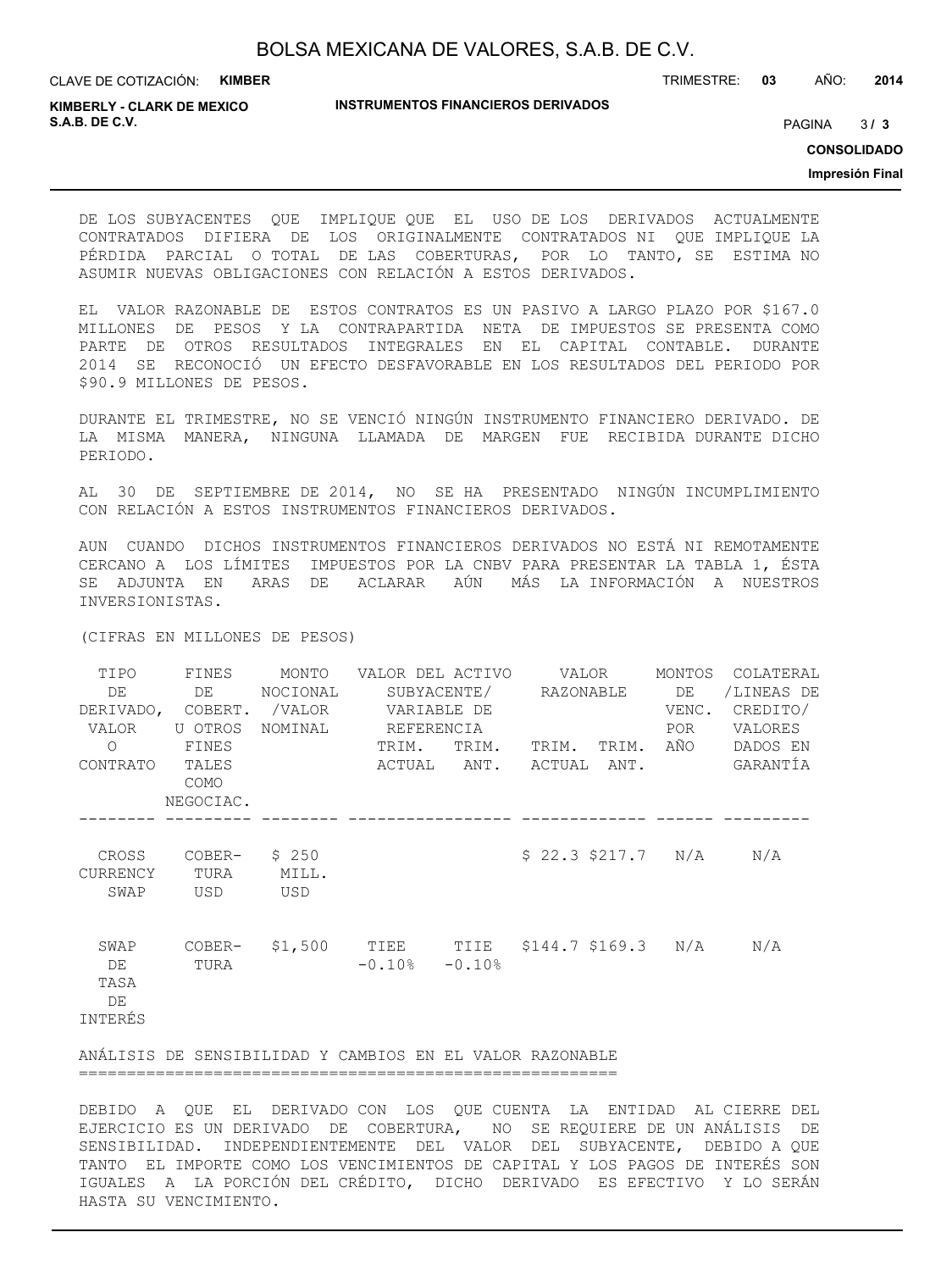TRIMESTRE: **03** AÑO: **2014**

**KIMBERLY - CLARK DE MEXICO S.A.B. DE C.V.** PAGINA **/ 3**

#### **INSTRUMENTOS FINANCIEROS DERIVADOS**

 $3/3$ 

**CONSOLIDADO**

**Impresión Final**

DE LOS SUBYACENTES QUE IMPLIQUE QUE EL USO DE LOS DERIVADOS ACTUALMENTE CONTRATADOS DIFIERA DE LOS ORIGINALMENTE CONTRATADOS NI QUE IMPLIQUE LA PÉRDIDA PARCIAL O TOTAL DE LAS COBERTURAS, POR LO TANTO, SE ESTIMA NO ASUMIR NUEVAS OBLIGACIONES CON RELACIÓN A ESTOS DERIVADOS.

EL VALOR RAZONABLE DE ESTOS CONTRATOS ES UN PASIVO A LARGO PLAZO POR \$167.0 MILLONES DE PESOS Y LA CONTRAPARTIDA NETA DE IMPUESTOS SE PRESENTA COMO PARTE DE OTROS RESULTADOS INTEGRALES EN EL CAPITAL CONTABLE. DURANTE 2014 SE RECONOCIÓ UN EFECTO DESFAVORABLE EN LOS RESULTADOS DEL PERIODO POR \$90.9 MILLONES DE PESOS.

DURANTE EL TRIMESTRE, NO SE VENCIÓ NINGÚN INSTRUMENTO FINANCIERO DERIVADO. DE LA MISMA MANERA, NINGUNA LLAMADA DE MARGEN FUE RECIBIDA DURANTE DICHO PERIODO.

AL 30 DE SEPTIEMBRE DE 2014, NO SE HA PRESENTADO NINGÚN INCUMPLIMIENTO CON RELACIÓN A ESTOS INSTRUMENTOS FINANCIEROS DERIVADOS.

AUN CUANDO DICHOS INSTRUMENTOS FINANCIEROS DERIVADOS NO ESTÁ NI REMOTAMENTE CERCANO A LOS LÍMITES IMPUESTOS POR LA CNBV PARA PRESENTAR LA TABLA 1, ÉSTA SE ADJUNTA EN ARAS DE ACLARAR AÚN MÁS LA INFORMACIÓN A NUESTROS INVERSIONISTAS.

(CIFRAS EN MILLONES DE PESOS)

| TIPO<br>DE<br>VALOR<br>$\Omega$     | FINES<br>DE<br>U OTROS<br>FINES | MONTO<br>NOCIONAL     | VALOR DEL ACTIVO        VALOR<br>SUBYACENTE/ RAZONABLE DE<br>DERIVADO, COBERT. /VALOR VARIABLE DE<br>NOMINAL REFERENCIA<br>TRIM.<br>TRIM. |  | TRIM. TRIM. AÑO         |  | MONTOS<br>VENC.<br>POR | COLATERAL<br>/LINEAS DE<br>CREDITO/<br>VALORES<br>DADOS EN |
|-------------------------------------|---------------------------------|-----------------------|-------------------------------------------------------------------------------------------------------------------------------------------|--|-------------------------|--|------------------------|------------------------------------------------------------|
| CONTRATO TALES                      | COMO<br>NEGOCIAC.               |                       |                                                                                                                                           |  | ACTUAL ANT. ACTUAL ANT. |  |                        | GARANTÍA                                                   |
| CROSS<br><b>CURRENCY</b><br>SWAP    | COBER-<br>TURA<br>USD           | \$250<br>MILL.<br>USD |                                                                                                                                           |  | $$22.3$ $$217.7$ N/A    |  |                        | N/A                                                        |
| SWAP<br>DE<br>TASA<br>DE<br>INTERÉS | COBER-<br>TURA                  |                       | \$1,500 TIEE TIIE \$144.7 \$169.3 N/A<br>$-0.10$ % $-0.10$ %                                                                              |  |                         |  |                        | N/A                                                        |
|                                     |                                 |                       | ANÁLISIS DE SENSIBILIDAD Y CAMBIOS EN EL VALOR RAZONABLE                                                                                  |  |                         |  |                        |                                                            |

========================================================

DEBIDO A QUE EL DERIVADO CON LOS QUE CUENTA LA ENTIDAD AL CIERRE DEL EJERCICIO ES UN DERIVADO DE COBERTURA, NO SE REQUIERE DE UN ANÁLISIS DE SENSIBILIDAD. INDEPENDIENTEMENTE DEL VALOR DEL SUBYACENTE, DEBIDO A QUE TANTO EL IMPORTE COMO LOS VENCIMIENTOS DE CAPITAL Y LOS PAGOS DE INTERÉS SON IGUALES A LA PORCIÓN DEL CRÉDITO, DICHO DERIVADO ES EFECTIVO Y LO SERÁN HASTA SU VENCIMIENTO.